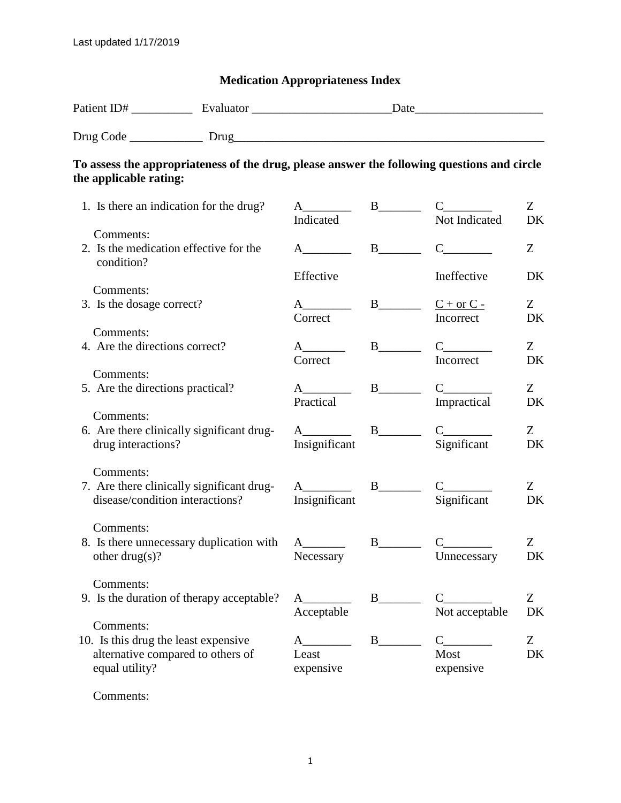## **Medication Appropriateness Index**

| the applicable rating:                                                                                   | To assess the appropriateness of the drug, please answer the following questions and circle |                                                  |                                   |                                                                                                                                                                                                                                                                                                                                                                                                                                                                                                                                                                                                              |                 |
|----------------------------------------------------------------------------------------------------------|---------------------------------------------------------------------------------------------|--------------------------------------------------|-----------------------------------|--------------------------------------------------------------------------------------------------------------------------------------------------------------------------------------------------------------------------------------------------------------------------------------------------------------------------------------------------------------------------------------------------------------------------------------------------------------------------------------------------------------------------------------------------------------------------------------------------------------|-----------------|
| 1. Is there an indication for the drug?                                                                  |                                                                                             | Indicated                                        |                                   | Not Indicated                                                                                                                                                                                                                                                                                                                                                                                                                                                                                                                                                                                                | Z<br>DK         |
| Comments:<br>2. Is the medication effective for the<br>condition?                                        |                                                                                             | $A \quad \qquad$                                 |                                   | $C_{\underline{\hspace{2cm}}\underline{\hspace{2cm}}}$                                                                                                                                                                                                                                                                                                                                                                                                                                                                                                                                                       | Z               |
| Comments:<br>3. Is the dosage correct?                                                                   |                                                                                             | Effective                                        | $B$ <sub>_____</sub> $C + or C -$ | Ineffective                                                                                                                                                                                                                                                                                                                                                                                                                                                                                                                                                                                                  | DK<br>Z         |
| Comments:                                                                                                |                                                                                             | Correct                                          |                                   | Incorrect                                                                                                                                                                                                                                                                                                                                                                                                                                                                                                                                                                                                    | DK              |
| 4. Are the directions correct?<br>Comments:                                                              |                                                                                             | $A$ <sub>__________</sub><br>Correct             |                                   | $C_{\underline{\hspace{1cm}}\phantom{\begin{array}{l}1}1}$<br>Incorrect                                                                                                                                                                                                                                                                                                                                                                                                                                                                                                                                      | $Z_{-}$<br>DK   |
| 5. Are the directions practical?                                                                         |                                                                                             | Practical                                        |                                   | $C_{\underline{\hspace{2cm}}\phantom{2cm}}$<br>Impractical                                                                                                                                                                                                                                                                                                                                                                                                                                                                                                                                                   | $Z_{\rm}$<br>DK |
| Comments:<br>drug interactions?                                                                          | 6. Are there clinically significant drug-                                                   | $A \quad \qquad$<br>Insignificant                |                                   | $C_{\sim}$<br>Significant                                                                                                                                                                                                                                                                                                                                                                                                                                                                                                                                                                                    | Z<br>DK         |
| Comments:<br>disease/condition interactions?                                                             | 7. Are there clinically significant drug-                                                   | $A$ <sub>_______</sub> B_______<br>Insignificant |                                   | $C_{\underline{\hspace{2cm}}\phantom{\begin{array}{c} \phantom{\begin{array}{c} \phantom{\begin{array}{c} \phantom{\begin{array}{c} \phantom{\begin{array}{c} \phantom{\begin{array}{c} \phantom{\begin{array}{c} \phantom{\begin{array}{c} \phantom{\begin{array}{c} \phantom{\begin{array}{c} \phantom{\begin{array}{c} \phantom{\begin{array}{c} \phantom{\begin{array}{c} \phantom{\begin{array}{c} \phantom{\begin{array}{c} \phantom{\begin{array}{c} \phantom{\begin{array}{c} \phantom{\begin{array}{c} \phantom{\begin{array}{c} \phantom{\begin{array}{c} \phantom{\begin{array}{c$<br>Significant | Z<br>DK         |
| Comments:<br>other drug(s)?                                                                              | 8. Is there unnecessary duplication with                                                    | $A_{-}$<br>Necessary                             | $\mathbf{B}$                      | Unnecessary                                                                                                                                                                                                                                                                                                                                                                                                                                                                                                                                                                                                  | Z<br>DK         |
| Comments:                                                                                                | 9. Is the duration of therapy acceptable?                                                   | Acceptable                                       |                                   | $C_{\underline{\hspace{2cm}}\phantom{2cm}}$<br>Not acceptable                                                                                                                                                                                                                                                                                                                                                                                                                                                                                                                                                | Z<br>DK         |
| Comments:<br>10. Is this drug the least expensive<br>alternative compared to others of<br>equal utility? |                                                                                             | $A$ and $A$<br>Least<br>expensive                | $B$ <sub>__________</sub>         | $\mathbf C$<br>Most<br>expensive                                                                                                                                                                                                                                                                                                                                                                                                                                                                                                                                                                             | Z<br>DK         |

Comments: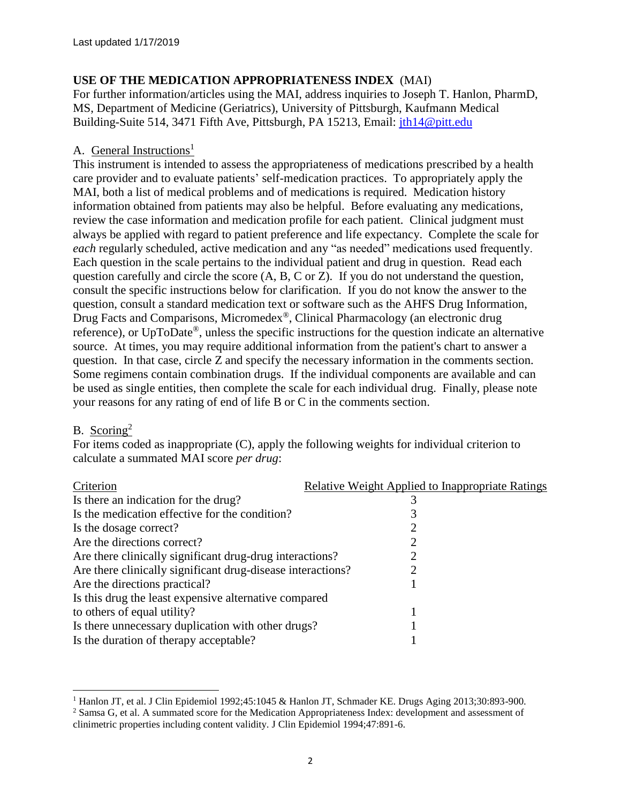## **USE OF THE MEDICATION APPROPRIATENESS INDEX** (MAI)

For further information/articles using the MAI, address inquiries to Joseph T. Hanlon, PharmD, MS, Department of Medicine (Geriatrics), University of Pittsburgh, Kaufmann Medical Building-Suite 514, 3471 Fifth Ave, Pittsburgh, PA 15213, Email: [jth14@pitt.edu](mailto:jth14@pitt.edu)

## A. General Instructions<sup>1</sup>

This instrument is intended to assess the appropriateness of medications prescribed by a health care provider and to evaluate patients' self-medication practices. To appropriately apply the MAI, both a list of medical problems and of medications is required. Medication history information obtained from patients may also be helpful. Before evaluating any medications, review the case information and medication profile for each patient. Clinical judgment must always be applied with regard to patient preference and life expectancy. Complete the scale for *each* regularly scheduled, active medication and any "as needed" medications used frequently. Each question in the scale pertains to the individual patient and drug in question. Read each question carefully and circle the score (A, B, C or Z). If you do not understand the question, consult the specific instructions below for clarification. If you do not know the answer to the question, consult a standard medication text or software such as the AHFS Drug Information, Drug Facts and Comparisons, Micromedex®, Clinical Pharmacology (an electronic drug reference), or UpToDate®, unless the specific instructions for the question indicate an alternative source. At times, you may require additional information from the patient's chart to answer a question. In that case, circle Z and specify the necessary information in the comments section. Some regimens contain combination drugs. If the individual components are available and can be used as single entities, then complete the scale for each individual drug. Finally, please note your reasons for any rating of end of life B or C in the comments section.

### B. Scoring<sup>2</sup>

 $\overline{a}$ 

For items coded as inappropriate (C), apply the following weights for individual criterion to calculate a summated MAI score *per drug*:

| <b>Relative Weight Applied to Inappropriate Ratings</b>     |
|-------------------------------------------------------------|
|                                                             |
|                                                             |
|                                                             |
|                                                             |
| Are there clinically significant drug-drug interactions?    |
| Are there clinically significant drug-disease interactions? |
|                                                             |
| Is this drug the least expensive alternative compared       |
|                                                             |
| Is there unnecessary duplication with other drugs?          |
|                                                             |
|                                                             |

<sup>&</sup>lt;sup>1</sup> Hanlon JT, et al. J Clin Epidemiol 1992;45:1045 & Hanlon JT, Schmader KE. Drugs Aging 2013;30:893-900.

<sup>2</sup> Samsa G, et al. A summated score for the Medication Appropriateness Index: development and assessment of clinimetric properties including content validity. J Clin Epidemiol 1994;47:891-6.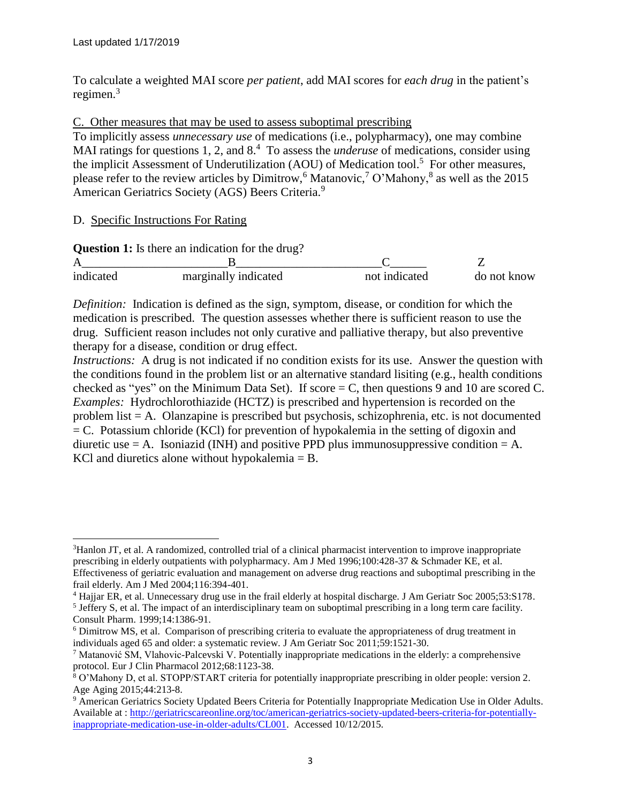To calculate a weighted MAI score *per patient*, add MAI scores for *each drug* in the patient's regimen. 3

## C. Other measures that may be used to assess suboptimal prescribing

To implicitly assess *unnecessary use* of medications (i.e., polypharmacy), one may combine MAI ratings for questions 1, 2, and 8.<sup>4</sup> To assess the *underuse* of medications, consider using the implicit Assessment of Underutilization (AOU) of Medication tool.<sup>5</sup> For other measures, please refer to the review articles by Dimitrow,  $6$  Matanovic,  $7$  O'Mahony,  $8$  as well as the 2015 American Geriatrics Society (AGS) Beers Criteria.<sup>9</sup>

## D. Specific Instructions For Rating

 $\overline{a}$ 

|           | <b>Question 1:</b> Is there an indication for the drug? |               |             |
|-----------|---------------------------------------------------------|---------------|-------------|
|           |                                                         |               |             |
| indicated | marginally indicated                                    | not indicated | do not know |

*Definition:* Indication is defined as the sign, symptom, disease, or condition for which the medication is prescribed. The question assesses whether there is sufficient reason to use the drug. Sufficient reason includes not only curative and palliative therapy, but also preventive therapy for a disease, condition or drug effect.

*Instructions:* A drug is not indicated if no condition exists for its use. Answer the question with the conditions found in the problem list or an alternative standard lisiting (e.g., health conditions checked as "yes" on the Minimum Data Set). If score  $=C$ , then questions 9 and 10 are scored C. *Examples:* Hydrochlorothiazide (HCTZ) is prescribed and hypertension is recorded on the problem list = A. Olanzapine is prescribed but psychosis, schizophrenia, etc. is not documented  $= C$ . Potassium chloride (KCl) for prevention of hypokalemia in the setting of digoxin and diuretic use  $= A$ . Isoniazid (INH) and positive PPD plus immunosuppressive condition  $= A$ . KCl and diuretics alone without hypokalemia = B.

<sup>&</sup>lt;sup>3</sup>Hanlon JT, et al. A randomized, controlled trial of a clinical pharmacist intervention to improve inappropriate prescribing in elderly outpatients with polypharmacy. Am J Med 1996;100:428-37 & Schmader KE, et al. Effectiveness of geriatric evaluation and management on adverse drug reactions and suboptimal prescribing in the frail elderly. Am J Med 2004;116:394-401.

<sup>4</sup> Hajjar ER, et al. Unnecessary drug use in the frail elderly at hospital discharge. J Am Geriatr Soc 2005;53:S178.

<sup>&</sup>lt;sup>5</sup> Jeffery S, et al. The impact of an interdisciplinary team on suboptimal prescribing in a long term care facility. Consult Pharm. 1999;14:1386-91.

<sup>6</sup> [Dimitrow](http://www.ncbi.nlm.nih.gov/pubmed?term=%22Dimitrow%20MS%22%5BAuthor%5D) [MS,](http://www.ncbi.nlm.nih.gov/pubmed?term=%22Dimitrow%20MS%22%5BAuthor%5D) et al. Comparison of prescribing criteria to evaluate the appropriateness of drug treatment in individuals aged 65 and older: a systematic review. [J](http://society./) [Am](http://society./) [Geriatr](http://society./) [Soc](http://society./) 2011;59:1521-30.

<sup>&</sup>lt;sup>7</sup> Matanović SM, Vlahovic-Palcevski V. Potentially inappropriate medications in the elderly: a comprehensive protocol. Eur J Clin Pharmacol 2012;68:1123-38.

<sup>8</sup> O'Mahony D, et al. STOPP/START criteria for potentially inappropriate prescribing in older people: version 2. Age Aging 2015;44:213-8.

<sup>9</sup> American Geriatrics Society Updated Beers Criteria for Potentially Inappropriate Medication Use in Older Adults. Available at : [http://geriatricscareonline.org/toc/american-geriatrics-society-updated-beers-criteria-for-potentially](http://geriatricscareonline.org/toc/american-geriatrics-society-updated-beers-criteria-for-potentially-inappropriate-medication-use-in-older-adults/CL001)[inappropriate-medication-use-in-older-adults/CL001.](http://geriatricscareonline.org/toc/american-geriatrics-society-updated-beers-criteria-for-potentially-inappropriate-medication-use-in-older-adults/CL001) Accessed 10/12/2015.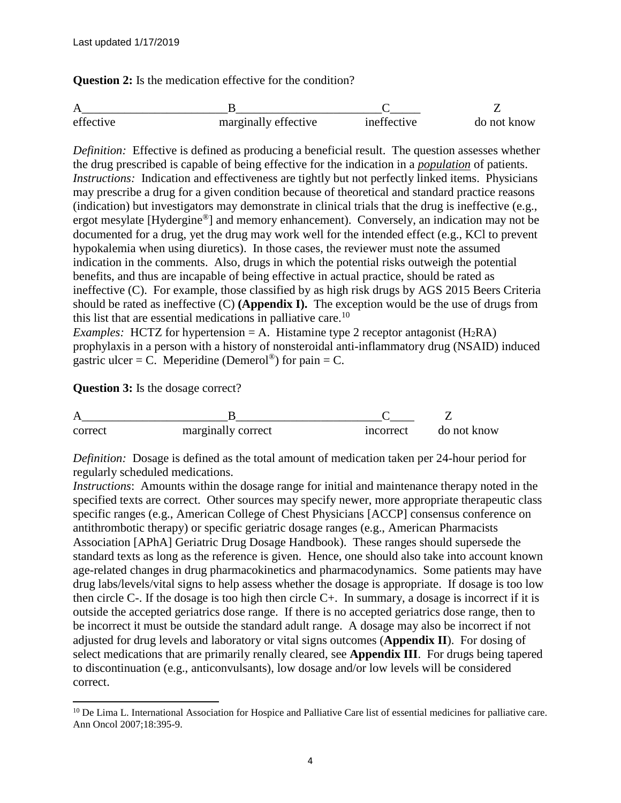**Question 2:** Is the medication effective for the condition?

| effective | marginally effective | ineffective | do not know |
|-----------|----------------------|-------------|-------------|

*Definition:* Effective is defined as producing a beneficial result. The question assesses whether the drug prescribed is capable of being effective for the indication in a *population* of patients. *Instructions:* Indication and effectiveness are tightly but not perfectly linked items. Physicians may prescribe a drug for a given condition because of theoretical and standard practice reasons (indication) but investigators may demonstrate in clinical trials that the drug is ineffective (e.g., ergot mesylate [Hydergine®] and memory enhancement). Conversely, an indication may not be documented for a drug, yet the drug may work well for the intended effect (e.g., KCl to prevent hypokalemia when using diuretics). In those cases, the reviewer must note the assumed indication in the comments. Also, drugs in which the potential risks outweigh the potential benefits, and thus are incapable of being effective in actual practice, should be rated as ineffective (C). For example, those classified by as high risk drugs by AGS 2015 Beers Criteria should be rated as ineffective (C) **(Appendix I).** The exception would be the use of drugs from this list that are essential medications in palliative care.<sup>10</sup>

*Examples:* HCTZ for hypertension = A. Histamine type 2 receptor antagonist  $(H_2RA)$ prophylaxis in a person with a history of nonsteroidal anti-inflammatory drug (NSAID) induced gastric ulcer = C. Meperidine (Demerol<sup>®</sup>) for pain = C.

**Question 3:** Is the dosage correct?

 $\overline{a}$ 

| correct | marginally correct | incorrect | do not know |
|---------|--------------------|-----------|-------------|

*Definition:* Dosage is defined as the total amount of medication taken per 24-hour period for regularly scheduled medications.

*Instructions*: Amounts within the dosage range for initial and maintenance therapy noted in the specified texts are correct. Other sources may specify newer, more appropriate therapeutic class specific ranges (e.g., American College of Chest Physicians [ACCP] consensus conference on antithrombotic therapy) or specific geriatric dosage ranges (e.g., American Pharmacists Association [APhA] Geriatric Drug Dosage Handbook). These ranges should supersede the standard texts as long as the reference is given. Hence, one should also take into account known age-related changes in drug pharmacokinetics and pharmacodynamics. Some patients may have drug labs/levels/vital signs to help assess whether the dosage is appropriate. If dosage is too low then circle C-. If the dosage is too high then circle C+. In summary, a dosage is incorrect if it is outside the accepted geriatrics dose range. If there is no accepted geriatrics dose range, then to be incorrect it must be outside the standard adult range. A dosage may also be incorrect if not adjusted for drug levels and laboratory or vital signs outcomes (**Appendix II**). For dosing of select medications that are primarily renally cleared, see **Appendix III**. For drugs being tapered to discontinuation (e.g., anticonvulsants), low dosage and/or low levels will be considered correct.

 $10$  De Lima L. International Association for Hospice and Palliative Care list of essential medicines for palliative care. Ann Oncol 2007;18:395-9.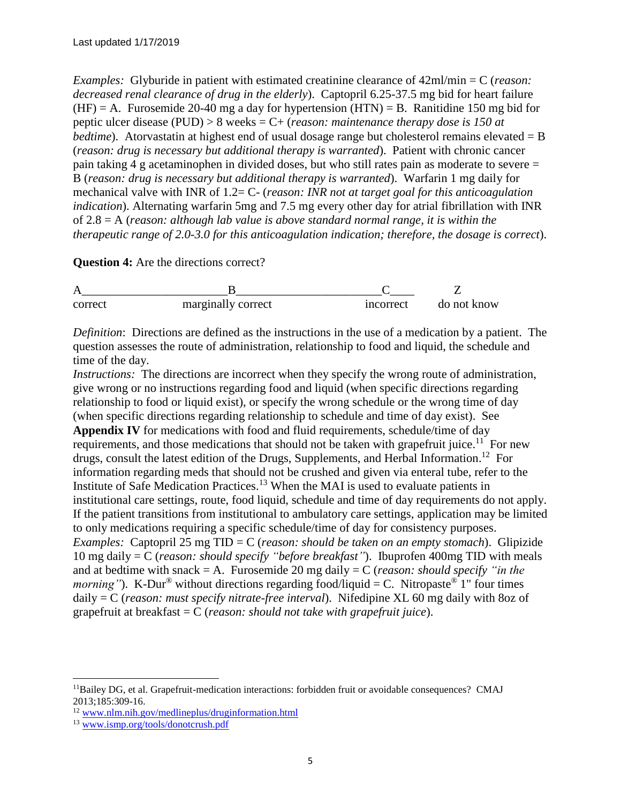*Examples:* Glyburide in patient with estimated creatinine clearance of 42ml/min = C (*reason: decreased renal clearance of drug in the elderly*). Captopril 6.25-37.5 mg bid for heart failure  $(HF) = A$ . Furosemide 20-40 mg a day for hypertension  $(HTN) = B$ . Ranitidine 150 mg bid for peptic ulcer disease (PUD) > 8 weeks = C+ (*reason: maintenance therapy dose is 150 at bedtime*). Atorvastatin at highest end of usual dosage range but cholesterol remains elevated = B (*reason: drug is necessary but additional therapy is warranted*). Patient with chronic cancer pain taking 4 g acetaminophen in divided doses, but who still rates pain as moderate to severe = B (*reason: drug is necessary but additional therapy is warranted*). Warfarin 1 mg daily for mechanical valve with INR of 1.2= C- (*reason: INR not at target goal for this anticoagulation indication*). Alternating warfarin 5mg and 7.5 mg every other day for atrial fibrillation with INR of 2.8 = A (*reason: although lab value is above standard normal range, it is within the therapeutic range of 2.0-3.0 for this anticoagulation indication; therefore, the dosage is correct*).

**Question 4:** Are the directions correct?

| correct | marginally correct | incorrect | do not know |
|---------|--------------------|-----------|-------------|

*Definition*: Directions are defined as the instructions in the use of a medication by a patient. The question assesses the route of administration, relationship to food and liquid, the schedule and time of the day.

*Instructions:* The directions are incorrect when they specify the wrong route of administration, give wrong or no instructions regarding food and liquid (when specific directions regarding relationship to food or liquid exist), or specify the wrong schedule or the wrong time of day (when specific directions regarding relationship to schedule and time of day exist). See **Appendix IV** for medications with food and fluid requirements, schedule/time of day requirements, and those medications that should not be taken with grapefruit juice.<sup>11</sup> For new drugs, consult the latest edition of the Drugs, Supplements, and Herbal Information.<sup>12</sup> For information regarding meds that should not be crushed and given via enteral tube, refer to the Institute of Safe Medication Practices.<sup>13</sup> When the MAI is used to evaluate patients in institutional care settings, route, food liquid, schedule and time of day requirements do not apply. If the patient transitions from institutional to ambulatory care settings, application may be limited to only medications requiring a specific schedule/time of day for consistency purposes. *Examples:* Captopril 25 mg TID = C (*reason: should be taken on an empty stomach*). Glipizide 10 mg daily = C (*reason: should specify "before breakfast"*). Ibuprofen 400mg TID with meals and at bedtime with snack = A. Furosemide 20 mg daily = C (*reason: should specify "in the morning*"). K-Dur<sup>®</sup> without directions regarding food/liquid = C. Nitropaste<sup>®</sup> 1" four times daily = C (*reason: must specify nitrate-free interval*). Nifedipine XL 60 mg daily with 8oz of grapefruit at breakfast = C (*reason: should not take with grapefruit juice*).

 $\overline{a}$ 

 $<sup>11</sup>Bailey DG$ , et al. Grapefruit-medication interactions: forbidden fruit or avoidable consequences? CMAJ</sup> 2013;185:309-16.

<sup>&</sup>lt;sup>12</sup> [www.nlm.nih.gov/medlineplus/druginformation.html](http://www.nlm.nih.gov/medlineplus/druginformation.html)

<sup>13</sup> [www.ismp.org/tools/donotcrush.pdf](http://www.ismp.org/tools/donotcrush.pdf)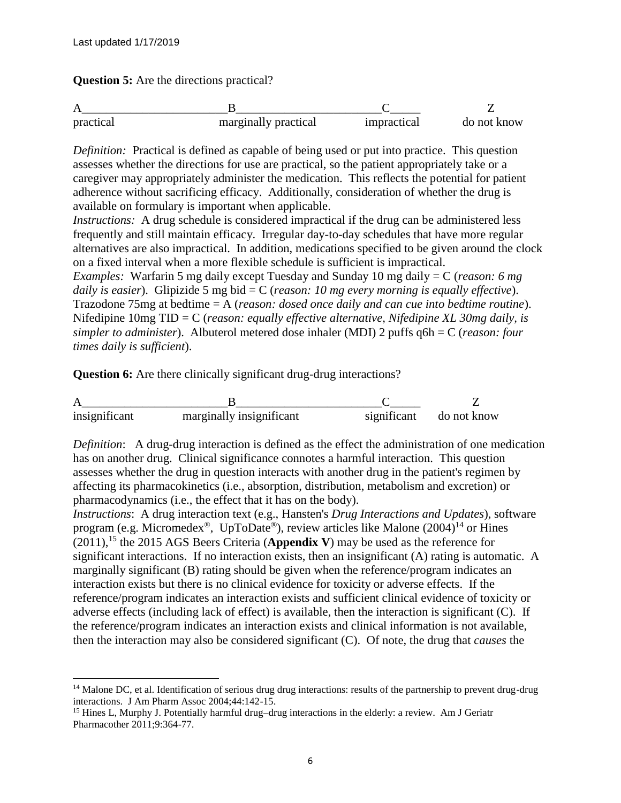$\overline{a}$ 

**Question 5:** Are the directions practical?

| practical | marginally practical | impractical | do not know |
|-----------|----------------------|-------------|-------------|

*Definition:* Practical is defined as capable of being used or put into practice. This question assesses whether the directions for use are practical, so the patient appropriately take or a caregiver may appropriately administer the medication. This reflects the potential for patient adherence without sacrificing efficacy. Additionally, consideration of whether the drug is available on formulary is important when applicable.

*Instructions:* A drug schedule is considered impractical if the drug can be administered less frequently and still maintain efficacy. Irregular day-to-day schedules that have more regular alternatives are also impractical. In addition, medications specified to be given around the clock on a fixed interval when a more flexible schedule is sufficient is impractical.

*Examples:* Warfarin 5 mg daily except Tuesday and Sunday 10 mg daily = C (*reason: 6 mg daily is easier*). Glipizide 5 mg bid = C (*reason: 10 mg every morning is equally effective*). Trazodone 75mg at bedtime = A (*reason: dosed once daily and can cue into bedtime routine*). Nifedipine 10mg TID = C (*reason: equally effective alternative, Nifedipine XL 30mg daily, is simpler to administer*). Albuterol metered dose inhaler (MDI) 2 puffs q6h = C (*reason: four times daily is sufficient*).

**Question 6:** Are there clinically significant drug-drug interactions?



*Definition*: A drug-drug interaction is defined as the effect the administration of one medication has on another drug. Clinical significance connotes a harmful interaction. This question assesses whether the drug in question interacts with another drug in the patient's regimen by affecting its pharmacokinetics (i.e., absorption, distribution, metabolism and excretion) or pharmacodynamics (i.e., the effect that it has on the body).

*Instructions*: A drug interaction text (e.g., Hansten's *Drug Interactions and Updates*), software program (e.g. Micromedex<sup>®</sup>, UpToDate<sup>®</sup>), review articles like Malone (2004)<sup>14</sup> or Hines (2011),<sup>15</sup> the 2015 AGS Beers Criteria (**Appendix V**) may be used as the reference for significant interactions. If no interaction exists, then an insignificant (A) rating is automatic. A marginally significant (B) rating should be given when the reference/program indicates an interaction exists but there is no clinical evidence for toxicity or adverse effects. If the reference/program indicates an interaction exists and sufficient clinical evidence of toxicity or adverse effects (including lack of effect) is available, then the interaction is significant (C). If the reference/program indicates an interaction exists and clinical information is not available, then the interaction may also be considered significant (C). Of note, the drug that *causes* the

 $<sup>14</sup>$  Malone DC, et al. Identification of serious drug drug interactions: results of the partnership to prevent drug-drug</sup> interactions. J Am Pharm Assoc 2004;44:142-15.

<sup>&</sup>lt;sup>15</sup> Hines L, Murphy J. Potentially harmful drug–drug interactions in the elderly: a review. Am J Geriatr Pharmacother 2011;9:364-77.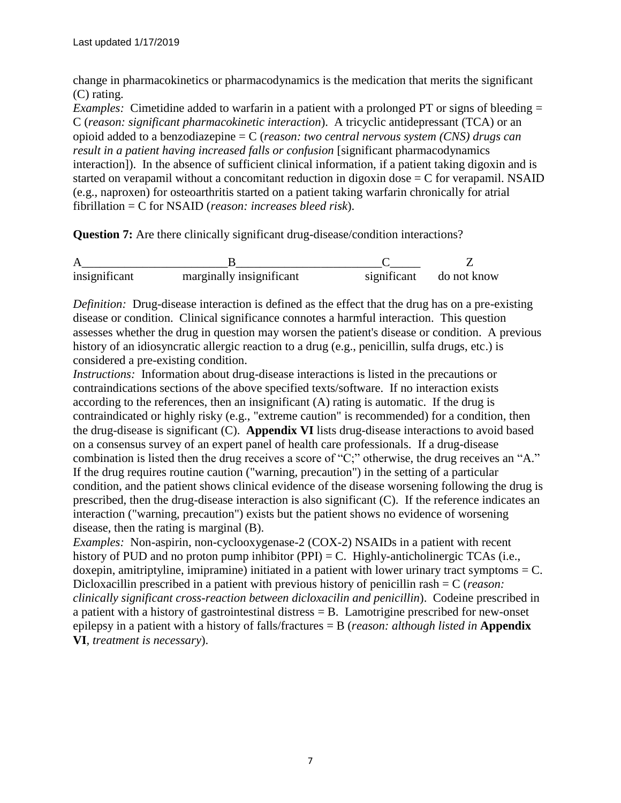change in pharmacokinetics or pharmacodynamics is the medication that merits the significant (C) rating.

*Examples:* Cimetidine added to warfarin in a patient with a prolonged PT or signs of bleeding = C (*reason: significant pharmacokinetic interaction*). A tricyclic antidepressant (TCA) or an opioid added to a benzodiazepine = C (*reason: two central nervous system (CNS) drugs can result in a patient having increased falls or confusion* [significant pharmacodynamics interaction]). In the absence of sufficient clinical information, if a patient taking digoxin and is started on verapamil without a concomitant reduction in digoxin dose  $= C$  for verapamil. NSAID (e.g., naproxen) for osteoarthritis started on a patient taking warfarin chronically for atrial fibrillation = C for NSAID (*reason: increases bleed risk*).

**Question 7:** Are there clinically significant drug-disease/condition interactions?

A\_\_\_\_\_\_\_\_\_\_\_\_\_\_\_\_\_\_\_\_\_\_\_\_B\_\_\_\_\_\_\_\_\_\_\_\_\_\_\_\_\_\_\_\_\_\_\_\_C\_\_\_\_\_ Z insignificant marginally insignificant significant do not know

*Definition:* Drug-disease interaction is defined as the effect that the drug has on a pre-existing disease or condition. Clinical significance connotes a harmful interaction. This question assesses whether the drug in question may worsen the patient's disease or condition. A previous history of an idiosyncratic allergic reaction to a drug (e.g., penicillin, sulfa drugs, etc.) is considered a pre-existing condition.

*Instructions:* Information about drug-disease interactions is listed in the precautions or contraindications sections of the above specified texts/software. If no interaction exists according to the references, then an insignificant (A) rating is automatic. If the drug is contraindicated or highly risky (e.g., "extreme caution" is recommended) for a condition, then the drug-disease is significant (C). **Appendix VI** lists drug-disease interactions to avoid based on a consensus survey of an expert panel of health care professionals. If a drug-disease combination is listed then the drug receives a score of "C;" otherwise, the drug receives an "A." If the drug requires routine caution ("warning, precaution") in the setting of a particular condition, and the patient shows clinical evidence of the disease worsening following the drug is prescribed, then the drug-disease interaction is also significant (C). If the reference indicates an interaction ("warning, precaution") exists but the patient shows no evidence of worsening disease, then the rating is marginal (B).

*Examples:* Non-aspirin, non-cyclooxygenase-2 (COX-2) NSAIDs in a patient with recent history of PUD and no proton pump inhibitor (PPI) = C. Highly-anticholinergic TCAs (i.e., doxepin, amitriptyline, imipramine) initiated in a patient with lower urinary tract symptoms  $= C$ . Dicloxacillin prescribed in a patient with previous history of penicillin rash = C (*reason: clinically significant cross-reaction between dicloxacilin and penicillin*). Codeine prescribed in a patient with a history of gastrointestinal distress = B. Lamotrigine prescribed for new-onset epilepsy in a patient with a history of falls/fractures = B (*reason: although listed in* **Appendix VI***, treatment is necessary*).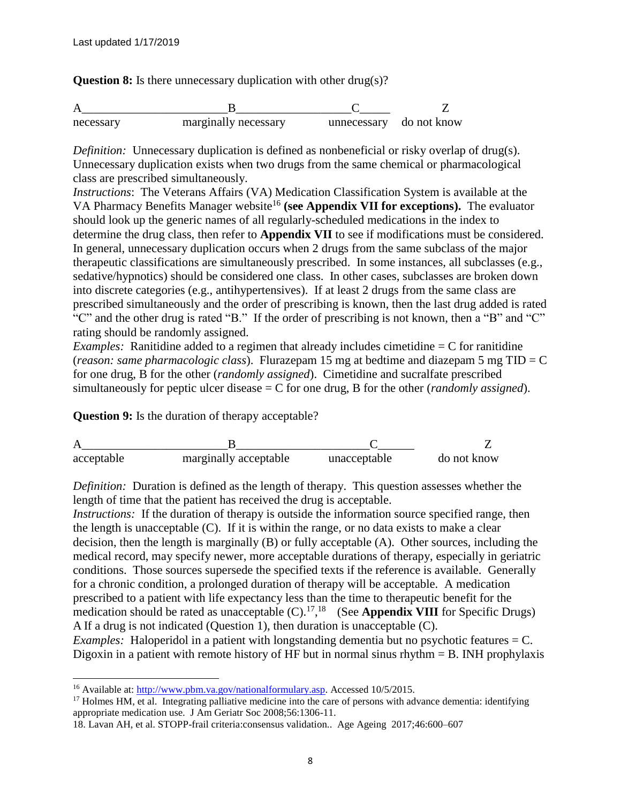**Question 8:** Is there unnecessary duplication with other drug(s)?

| necessary | marginally necessary | unnecessary do not know |  |
|-----------|----------------------|-------------------------|--|

*Definition:* Unnecessary duplication is defined as nonbeneficial or risky overlap of drug(s). Unnecessary duplication exists when two drugs from the same chemical or pharmacological class are prescribed simultaneously.

*Instructions*: The Veterans Affairs (VA) Medication Classification System is available at the VA Pharmacy Benefits Manager website<sup>16</sup> (see Appendix VII for exceptions). The evaluator should look up the generic names of all regularly-scheduled medications in the index to determine the drug class, then refer to **Appendix VII** to see if modifications must be considered. In general, unnecessary duplication occurs when 2 drugs from the same subclass of the major therapeutic classifications are simultaneously prescribed. In some instances, all subclasses (e.g., sedative/hypnotics) should be considered one class. In other cases, subclasses are broken down into discrete categories (e.g., antihypertensives). If at least 2 drugs from the same class are prescribed simultaneously and the order of prescribing is known, then the last drug added is rated "C" and the other drug is rated "B." If the order of prescribing is not known, then a "B" and "C" rating should be randomly assigned.

*Examples:* Ranitidine added to a regimen that already includes cimetidine = C for ranitidine (*reason: same pharmacologic class*). Flurazepam 15 mg at bedtime and diazepam 5 mg TID = C for one drug, B for the other (*randomly assigned*). Cimetidine and sucralfate prescribed simultaneously for peptic ulcer disease = C for one drug, B for the other (*randomly assigned*).

**Question 9:** Is the duration of therapy acceptable?



*Definition:* Duration is defined as the length of therapy. This question assesses whether the length of time that the patient has received the drug is acceptable.

*Instructions:* If the duration of therapy is outside the information source specified range, then the length is unacceptable  $(C)$ . If it is within the range, or no data exists to make a clear decision, then the length is marginally (B) or fully acceptable (A). Other sources, including the medical record, may specify newer, more acceptable durations of therapy, especially in geriatric conditions. Those sources supersede the specified texts if the reference is available. Generally for a chronic condition, a prolonged duration of therapy will be acceptable. A medication prescribed to a patient with life expectancy less than the time to therapeutic benefit for the medication should be rated as unacceptable  $(C)$ .<sup>17</sup>,<sup>18</sup> (See **Appendix VIII** for Specific Drugs) A If a drug is not indicated (Question 1), then duration is unacceptable (C).

*Examples:* Haloperidol in a patient with longstanding dementia but no psychotic features  $= C$ . Digoxin in a patient with remote history of HF but in normal sinus rhythm  $=$  B. INH prophylaxis

 $\overline{a}$ 

<sup>&</sup>lt;sup>16</sup> Available at: [http://www.pbm.va.gov/nationalformulary.asp.](http://www.pbm.va.gov/nationalformulary.asp) Accessed 10/5/2015.

 $17$  Holmes HM, et al. Integrating palliative medicine into the care of persons with advance dementia: identifying appropriate medication use. J Am Geriatr Soc 2008;56:1306-11.

<sup>18.</sup> Lavan AH, et al. STOPP-frail criteria:consensus validation.. Age Ageing 2017;46:600–607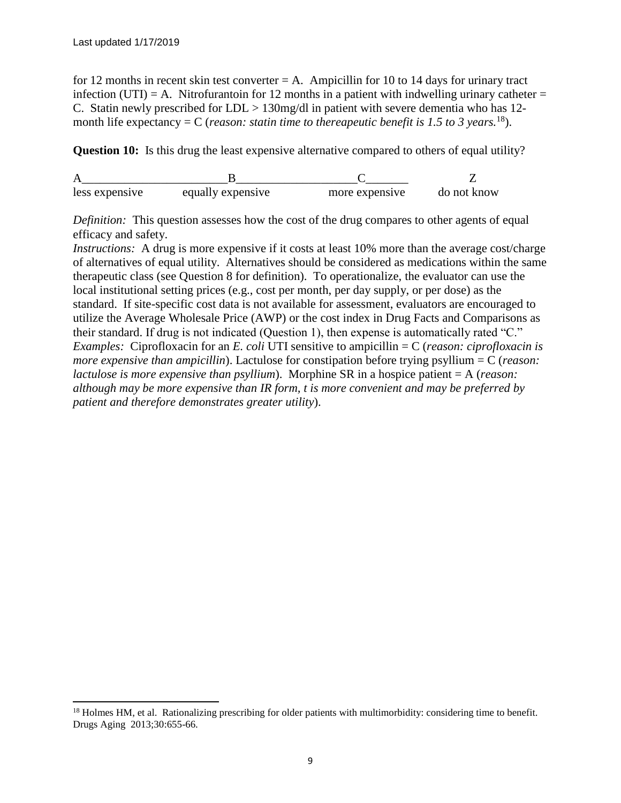$\overline{a}$ 

for 12 months in recent skin test converter  $= A$ . Ampicillin for 10 to 14 days for urinary tract infection (UTI) = A. Nitrofurantoin for 12 months in a patient with indwelling urinary catheter = C. Statin newly prescribed for LDL > 130mg/dl in patient with severe dementia who has 12 month life expectancy  $= C$  (*reason: statin time to thereapeutic benefit is 1.5 to 3 years.*<sup>18</sup>).

**Question 10:** Is this drug the least expensive alternative compared to others of equal utility?

| less expensive | equally expensive | more expensive | do not know |
|----------------|-------------------|----------------|-------------|

*Definition:* This question assesses how the cost of the drug compares to other agents of equal efficacy and safety.

*Instructions:* A drug is more expensive if it costs at least 10% more than the average cost/charge of alternatives of equal utility. Alternatives should be considered as medications within the same therapeutic class (see Question 8 for definition). To operationalize, the evaluator can use the local institutional setting prices (e.g., cost per month, per day supply, or per dose) as the standard. If site-specific cost data is not available for assessment, evaluators are encouraged to utilize the Average Wholesale Price (AWP) or the cost index in Drug Facts and Comparisons as their standard. If drug is not indicated (Question 1), then expense is automatically rated "C." *Examples:* Ciprofloxacin for an *E. coli* UTI sensitive to ampicillin = C (*reason: ciprofloxacin is more expensive than ampicillin*). Lactulose for constipation before trying psyllium = C (*reason: lactulose is more expensive than psyllium*). Morphine SR in a hospice patient = A (*reason: although may be more expensive than IR form, t is more convenient and may be preferred by patient and therefore demonstrates greater utility*).

 $18$  Holmes HM, et al. Rationalizing prescribing for older patients with multimorbidity: considering time to benefit. Drugs Aging 2013;30:655-66.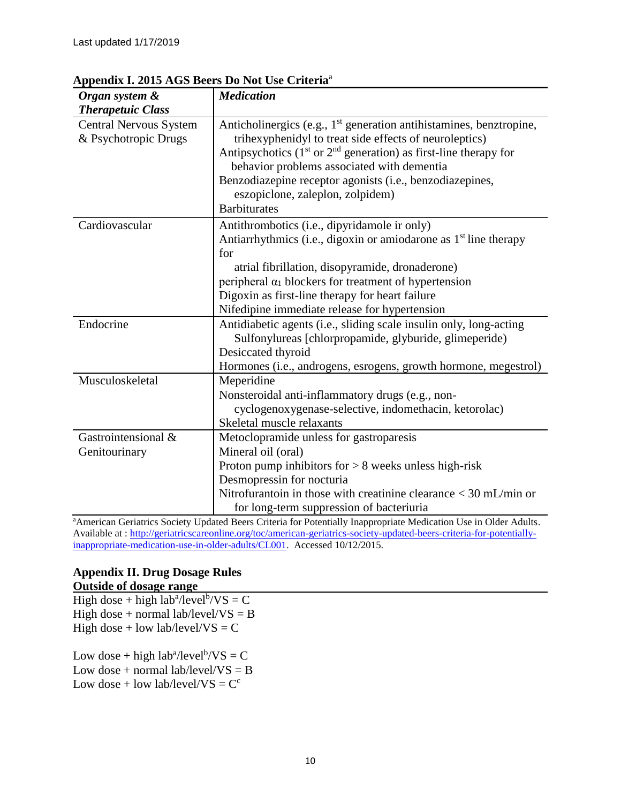| Organ system &                                        | <b>Medication</b>                                                                                                                                                                                                                                                                                                                                                                       |
|-------------------------------------------------------|-----------------------------------------------------------------------------------------------------------------------------------------------------------------------------------------------------------------------------------------------------------------------------------------------------------------------------------------------------------------------------------------|
| <b>Therapetuic Class</b>                              |                                                                                                                                                                                                                                                                                                                                                                                         |
| <b>Central Nervous System</b><br>& Psychotropic Drugs | Anticholinergics (e.g., 1 <sup>st</sup> generation antihistamines, benztropine,<br>trihexyphenidyl to treat side effects of neuroleptics)<br>Antipsychotics ( $1st$ or $2nd$ generation) as first-line therapy for<br>behavior problems associated with dementia<br>Benzodiazepine receptor agonists (i.e., benzodiazepines,<br>eszopiclone, zaleplon, zolpidem)<br><b>Barbiturates</b> |
| Cardiovascular                                        | Antithrombotics (i.e., dipyridamole ir only)<br>Antiarrhythmics (i.e., digoxin or amiodarone as 1 <sup>st</sup> line therapy<br>for<br>atrial fibrillation, disopyramide, dronaderone)<br>peripheral $\alpha_1$ blockers for treatment of hypertension<br>Digoxin as first-line therapy for heart failure<br>Nifedipine immediate release for hypertension                              |
| Endocrine                                             | Antidiabetic agents (i.e., sliding scale insulin only, long-acting<br>Sulfonylureas [chlorpropamide, glyburide, glimeperide)<br>Desiccated thyroid<br>Hormones (i.e., androgens, esrogens, growth hormone, megestrol)                                                                                                                                                                   |
| Musculoskeletal                                       | Meperidine<br>Nonsteroidal anti-inflammatory drugs (e.g., non-<br>cyclogenoxygenase-selective, indomethacin, ketorolac)<br>Skeletal muscle relaxants                                                                                                                                                                                                                                    |
| Gastrointensional &<br>Genitourinary                  | Metoclopramide unless for gastroparesis<br>Mineral oil (oral)<br>Proton pump inhibitors for $> 8$ weeks unless high-risk<br>Desmopressin for nocturia<br>Nitrofurantoin in those with creatinine clearance $<$ 30 mL/min or<br>for long-term suppression of bacteriuria                                                                                                                 |

## **Appendix I. 2015 AGS Beers Do Not Use Criteria**<sup>a</sup>

<sup>a</sup>American Geriatrics Society Updated Beers Criteria for Potentially Inappropriate Medication Use in Older Adults. Available at : [http://geriatricscareonline.org/toc/american-geriatrics-society-updated-beers-criteria-for-potentially](http://geriatricscareonline.org/toc/american-geriatrics-society-updated-beers-criteria-for-potentially-inappropriate-medication-use-in-older-adults/CL001)[inappropriate-medication-use-in-older-adults/CL001.](http://geriatricscareonline.org/toc/american-geriatrics-society-updated-beers-criteria-for-potentially-inappropriate-medication-use-in-older-adults/CL001) Accessed 10/12/2015.

#### **Appendix II. Drug Dosage Rules Outside of dosage range**

High dose + high  $lab^a/level^b/VS = C$ High dose + normal lab/level/ $VS = B$ High dose + low lab/level/ $VS = C$ 

Low dose + high  $lab^a/level^b/VS = C$ Low dose + normal lab/level/ $VS = B$ Low dose + low lab/level/ $VS = C^c$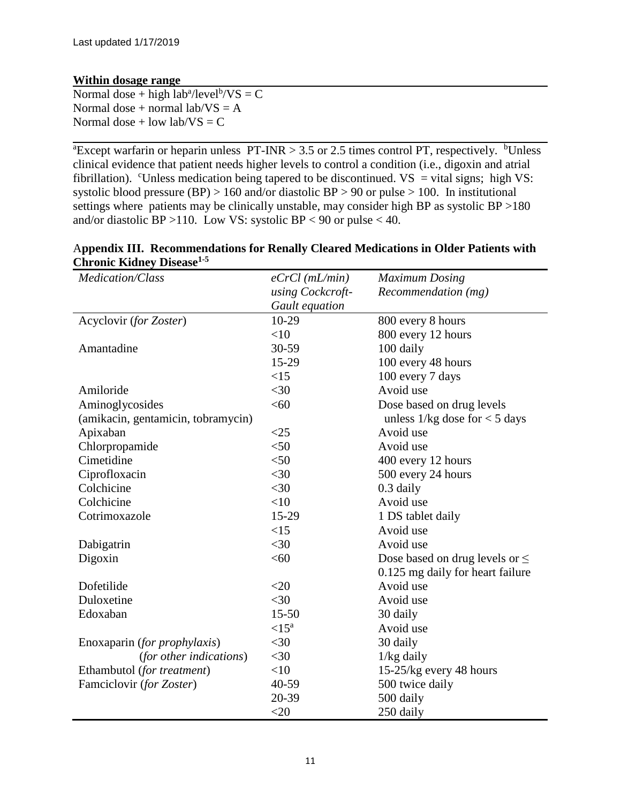### **Within dosage range**

Normal dose + high  $lab^a/level^b/VS = C$ Normal dose + normal lab/ $VS = A$ Normal dose + low lab/ $VS = C$ 

<sup>a</sup>Except warfarin or heparin unless PT-INR  $> 3.5$  or 2.5 times control PT, respectively. <sup>b</sup>Unless clinical evidence that patient needs higher levels to control a condition (i.e., digoxin and atrial fibrillation). CUnless medication being tapered to be discontinued.  $VS =$  vital signs; high VS: systolic blood pressure (BP) > 160 and/or diastolic BP > 90 or pulse > 100. In institutional settings where patients may be clinically unstable, may consider high BP as systolic BP >180 and/or diastolic BP > 110. Low VS: systolic BP < 90 or pulse < 40.

| Medication/Class                   | $eCrCl$ (mL/min) | <b>Maximum Dosing</b>               |
|------------------------------------|------------------|-------------------------------------|
|                                    | using Cockcroft- | Recommendation (mg)                 |
|                                    | Gault equation   |                                     |
| Acyclovir (for Zoster)             | 10-29            | 800 every 8 hours                   |
|                                    | $<$ 10           | 800 every 12 hours                  |
| Amantadine                         | 30-59            | 100 daily                           |
|                                    | 15-29            | 100 every 48 hours                  |
|                                    | <15              | 100 every 7 days                    |
| Amiloride                          | $<$ 30           | Avoid use                           |
| Aminoglycosides                    | <60              | Dose based on drug levels           |
| (amikacin, gentamicin, tobramycin) |                  | unless $1/kg$ dose for $<$ 5 days   |
| Apixaban                           | $<$ 25           | Avoid use                           |
| Chlorpropamide                     | $<$ 50           | Avoid use                           |
| Cimetidine                         | $<$ 50           | 400 every 12 hours                  |
| Ciprofloxacin                      | $<$ 30           | 500 every 24 hours                  |
| Colchicine                         | $<$ 30           | 0.3 daily                           |
| Colchicine                         | $<$ 10           | Avoid use                           |
| Cotrimoxazole                      | 15-29            | 1 DS tablet daily                   |
|                                    | <15              | Avoid use                           |
| Dabigatrin                         | $<$ 30           | Avoid use                           |
| Digoxin                            | <60              | Dose based on drug levels or $\leq$ |
|                                    |                  | 0.125 mg daily for heart failure    |
| Dofetilide                         | $<$ 20           | Avoid use                           |
| Duloxetine                         | $<$ 30           | Avoid use                           |
| Edoxaban                           | $15 - 50$        | 30 daily                            |
|                                    | $\langle 15^a$   | Avoid use                           |
| Enoxaparin (for prophylaxis)       | $<$ 30           | 30 daily                            |
| (for other indications)            | $<$ 30           | $1/kg$ daily                        |
| Ethambutol (for treatment)         | <10              | 15-25/kg every 48 hours             |
| Famciclovir (for Zoster)           | 40-59            | 500 twice daily                     |
|                                    | 20-39            | 500 daily                           |
|                                    | $<$ 20           | 250 daily                           |

#### A**ppendix III. Recommendations for Renally Cleared Medications in Older Patients with Chronic Kidney Disease1-5**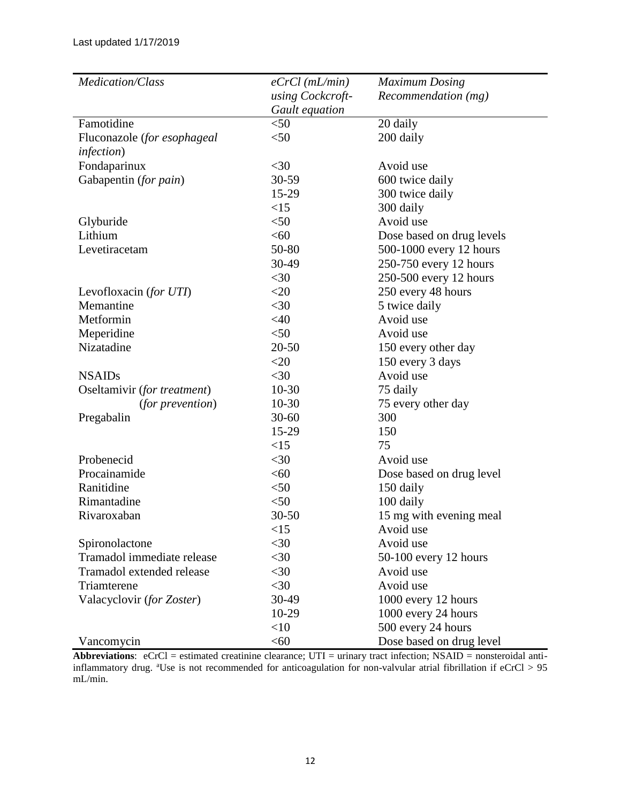| Medication/Class            | $eCrCl$ (mL/min) | <b>Maximum Dosing</b>     |
|-----------------------------|------------------|---------------------------|
|                             | using Cockcroft- | Recommendation (mg)       |
|                             | Gault equation   |                           |
| Famotidine                  | $<$ 50           | 20 daily                  |
| Fluconazole (for esophageal | $50$             | 200 daily                 |
| infection)                  |                  |                           |
| Fondaparinux                | $<$ 30           | Avoid use                 |
| Gabapentin (for pain)       | 30-59            | 600 twice daily           |
|                             | 15-29            | 300 twice daily           |
|                             | <15              | 300 daily                 |
| Glyburide                   | $<$ 50           | Avoid use                 |
| Lithium                     | <60              | Dose based on drug levels |
| Levetiracetam               | 50-80            | 500-1000 every 12 hours   |
|                             | 30-49            | 250-750 every 12 hours    |
|                             | $<$ 30           | 250-500 every 12 hours    |
| Levofloxacin (for UTI)      | $<$ 20           | 250 every 48 hours        |
| Memantine                   | $<$ 30           | 5 twice daily             |
| Metformin                   | <40              | Avoid use                 |
| Meperidine                  | $<$ 50           | Avoid use                 |
| Nizatadine                  | $20 - 50$        | 150 every other day       |
|                             | $<$ 20           | 150 every 3 days          |
| <b>NSAIDs</b>               | $<$ 30           | Avoid use                 |
| Oseltamivir (for treatment) | $10-30$          | 75 daily                  |
| <i>(for prevention)</i>     | $10 - 30$        | 75 every other day        |
| Pregabalin                  | $30 - 60$        | 300                       |
|                             | 15-29            | 150                       |
|                             | <15              | 75                        |
| Probenecid                  | $<$ 30           | Avoid use                 |
| Procainamide                | < 60             | Dose based on drug level  |
| Ranitidine                  | $<$ 50           | 150 daily                 |
| Rimantadine                 | $<$ 50           | 100 daily                 |
| Rivaroxaban                 | $30 - 50$        | 15 mg with evening meal   |
|                             | <15              | Avoid use                 |
| Spironolactone              | $<$ 30           | Avoid use                 |
| Tramadol immediate release  | $30$             | 50-100 every 12 hours     |
| Tramadol extended release   | $<$ 30           | Avoid use                 |
| Triamterene                 | $<$ 30           | Avoid use                 |
| Valacyclovir (for Zoster)   | 30-49            | 1000 every 12 hours       |
|                             | 10-29            | 1000 every 24 hours       |
|                             | <10              | 500 every 24 hours        |
| Vancomycin                  | < 60             | Dose based on drug level  |

**Abbreviations**: eCrCl = estimated creatinine clearance; UTI = urinary tract infection; NSAID = nonsteroidal antiinflammatory drug.  $^{a}$ Use is not recommended for anticoagulation for non-valvular atrial fibrillation if  $eCrCl > 95$ mL/min.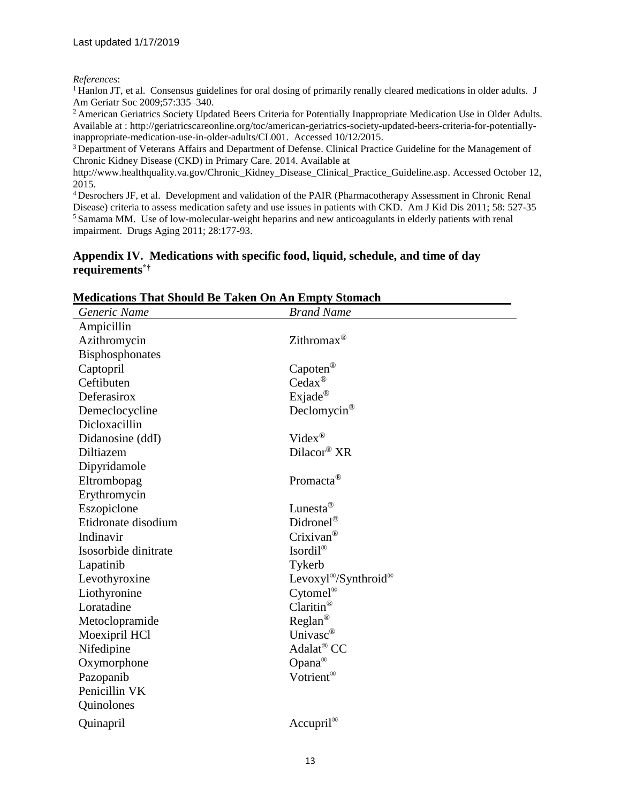#### *References*:

<sup>1</sup> Hanlon JT, et al. Consensus guidelines for oral dosing of primarily renally cleared medications in older adults. J Am Geriatr Soc 2009;57:335–340.

<sup>2</sup> American Geriatrics Society Updated Beers Criteria for Potentially Inappropriate Medication Use in Older Adults. Available at : http://geriatricscareonline.org/toc/american-geriatrics-society-updated-beers-criteria-for-potentiallyinappropriate-medication-use-in-older-adults/CL001. Accessed 10/12/2015.

<sup>3</sup> Department of Veterans Affairs and Department of Defense. Clinical Practice Guideline for the Management of Chronic Kidney Disease (CKD) in Primary Care. 2014. Available at

[http://www.healthquality.va.gov/Chronic\\_Kidney\\_Disease\\_Clinical\\_Practice\\_Guideline.asp.](http://www.healthquality.va.gov/Chronic_Kidney_Disease_Clinical_Practice_Guideline.asp) Accessed October 12, 2015.

<sup>4</sup> Desrochers JF, et al. Development and validation of the PAIR (Pharmacotherapy Assessment in Chronic Renal Disease) criteria to assess medication safety and use issues in patients with CKD. Am J Kid Dis 2011; [58: 5](http://www.ajkd.org/issues?issue_key=S0272-6386(11)X0010-0)27-35 <sup>5</sup> Samama MM. [Use of low-molecular-weight heparins and new anticoagulants in elderly patients with renal](http://adisonline.com/aging/Abstract/2011/28030/Use_of_Low_Molecular_Weight_Heparins_and_New.2.aspx)  [impairment.](http://adisonline.com/aging/Abstract/2011/28030/Use_of_Low_Molecular_Weight_Heparins_and_New.2.aspx) Drugs Aging 2011; 28:177-93.

#### **Appendix IV. Medications with specific food, liquid, schedule, and time of day requirements\*†**

| Generic Name         | <b>Brand Name</b>        |
|----------------------|--------------------------|
| Ampicillin           |                          |
| Azithromycin         | Zithromax <sup>®</sup>   |
| Bisphosphonates      |                          |
| Captopril            | $Capoten^{\circledR}$    |
| Ceftibuten           | $Cedax^@$                |
| Deferasirox          | Exjade®                  |
| Demeclocycline       | Declomycin <sup>®</sup>  |
| Dicloxacillin        |                          |
| Didanosine (ddI)     | $Video^{\circledR}$      |
| Diltiazem            | $Dilacor^{\circledR}$ XR |
| Dipyridamole         |                          |
| Eltrombopag          | Promacta <sup>®</sup>    |
| Erythromycin         |                          |
| Eszopiclone          | Lunesta <sup>®</sup>     |
| Etidronate disodium  | Didronel <sup>®</sup>    |
| Indinavir            | $Crixivan^{\circledR}$   |
| Isosorbide dinitrate | Isordi $l^{\circledR}$   |
| Lapatinib            | Tykerb                   |
| Levothyroxine        | Levoxyl®/Synthroid®      |
| Liothyronine         | $Cytomel^®$              |
| Loratadine           | Claritin <sup>®</sup>    |
| Metoclopramide       | Reglan <sup>®</sup>      |
| Moexipril HCl        | Univasc <sup>®</sup>     |
| Nifedipine           | Adalat <sup>®</sup> CC   |
| Oxymorphone          | Opana <sup>®</sup>       |
| Pazopanib            | Votrient®                |
| Penicillin VK        |                          |
| Quinolones           |                          |
| Quinapril            | $Accupril^{\circledR}$   |

#### **Medications That Should Be Taken On An Empty Stomach**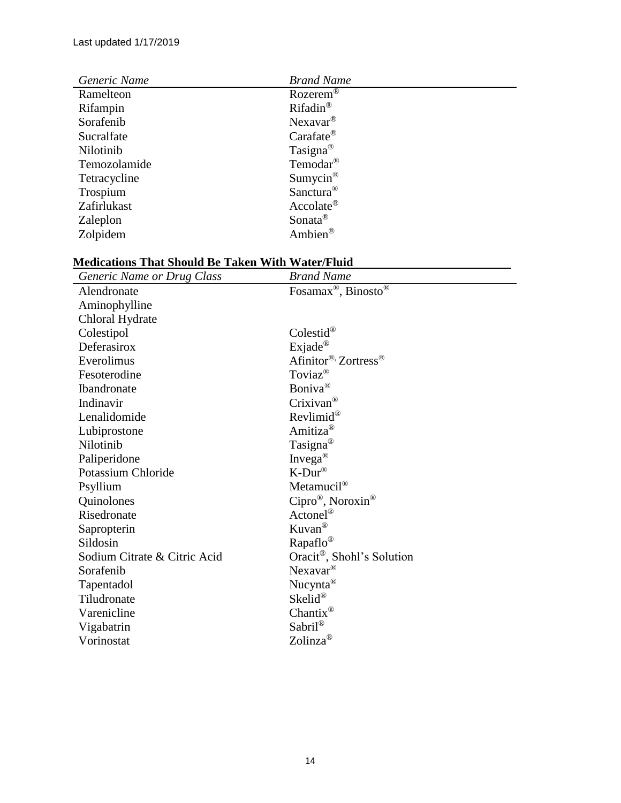| Generic Name | <b>Brand Name</b>       |
|--------------|-------------------------|
| Ramelteon    | Rozerem <sup>®</sup>    |
| Rifampin     | Rifadin <sup>®</sup>    |
| Sorafenib    | $N$ exavar <sup>®</sup> |
| Sucralfate   | $Carafate^{\circledR}$  |
| Nilotinib    | Tasigna <sup>®</sup>    |
| Temozolamide | Temodar <sup>®</sup>    |
| Tetracycline | Sumycin <sup>®</sup>    |
| Trospium     | Sanctura <sup>®</sup>   |
| Zafirlukast  | $Accolate^{\circledR}$  |
| Zaleplon     | Sonata <sup>®</sup>     |
| Zolpidem     | Ambien <sup>®</sup>     |

## **Medications That Should Be Taken With Water/Fluid**

| Generic Name or Drug Class   | <b>Brand Name</b>                           |
|------------------------------|---------------------------------------------|
| Alendronate                  | Fosamax <sup>®</sup> , Binosto <sup>®</sup> |
| Aminophylline                |                                             |
| Chloral Hydrate              |                                             |
| Colestipol                   | Colestid®                                   |
| Deferasirox                  | $Exjade^{\circledR}$                        |
| Everolimus                   | Afinitor® Zortress®                         |
| Fesoterodine                 | Toviaz <sup>®</sup>                         |
| Ibandronate                  | Boniva <sup>®</sup>                         |
| Indinavir                    | Crixivan <sup>®</sup>                       |
| Lenalidomide                 | $Revlimid^@$                                |
| Lubiprostone                 | Amitiza <sup>®</sup>                        |
| Nilotinib                    | Tasigna <sup>®</sup>                        |
| Paliperidone                 | Invega <sup>®</sup>                         |
| Potassium Chloride           | $K-Dur^{\circledR}$                         |
| Psyllium                     | Metamucil <sup>®</sup>                      |
| Quinolones                   | $Cipro^{\circledR}$ , Noroxin <sup>®</sup>  |
| Risedronate                  | $\text{Actonel}^{\circledR}$                |
| Sapropterin                  | $Kuvan^{\circledR}$                         |
| Sildosin                     | Rapaflo <sup>®</sup>                        |
| Sodium Citrate & Citric Acid | Oracit <sup>®</sup> , Shohl's Solution      |
| Sorafenib                    | Nexavar <sup>®</sup>                        |
| Tapentadol                   | Nucynta <sup>®</sup>                        |
| Tiludronate                  | Skelid®                                     |
| Varenicline                  | Chantix <sup>®</sup>                        |
| Vigabatrin                   | Sabril®                                     |
| Vorinostat                   | Zolinza <sup>®</sup>                        |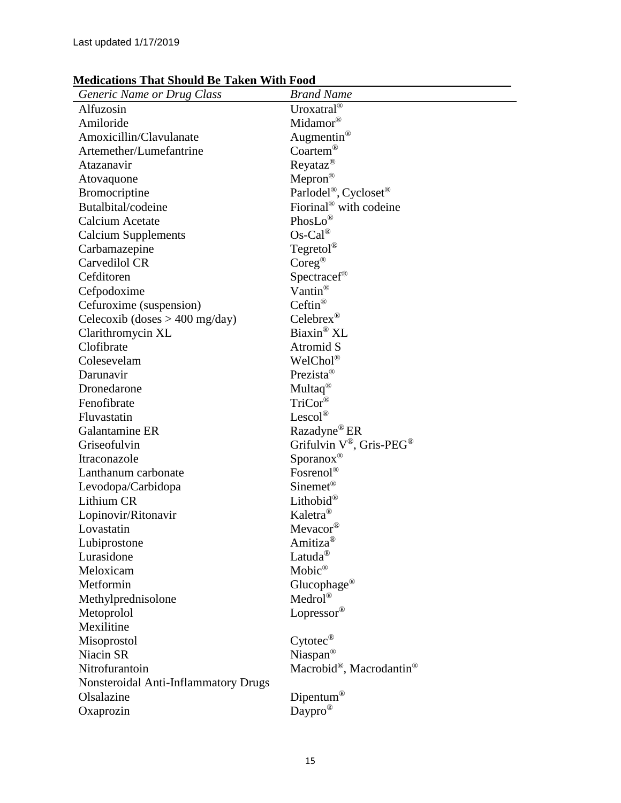## **Medications That Should Be Taken With Food**

| Generic Name or Drug Class           | <b>Brand Name</b>                                   |
|--------------------------------------|-----------------------------------------------------|
| Alfuzosin                            | Uroxatral®                                          |
| Amiloride                            | Midamor®                                            |
| Amoxicillin/Clavulanate              | Augmentin <sup>®</sup>                              |
| Artemether/Lumefantrine              | Coartem®                                            |
| Atazanavir                           | $Reyataz^{\circledR}$                               |
| Atovaquone                           | $Mepron^{\circledR}$                                |
| Bromocriptine                        | Parlodel <sup>®</sup> , Cycloset <sup>®</sup>       |
| Butalbital/codeine                   | Fiorinal <sup>®</sup> with codeine                  |
| Calcium Acetate                      | Phos $Lo^{\circledR}$                               |
| <b>Calcium Supplements</b>           | $Os-Cal^{\circledR}$                                |
| Carbamazepine                        | Tegretol®                                           |
| Carvedilol CR                        | $\mathrm{Coreg}^\circledR$                          |
| Cefditoren                           | Spectracef®                                         |
| Cefpodoxime                          | Vantin <sup>®</sup>                                 |
| Cefuroxime (suspension)              | Ceftin®                                             |
| Celecoxib (doses $> 400$ mg/day)     | Celebrex <sup>®</sup>                               |
| Clarithromycin XL                    | Biaxin® XL                                          |
| Clofibrate                           | Atromid S                                           |
| Colesevelam                          | WelChol®                                            |
| Darunavir                            | Prezista <sup>®</sup>                               |
| Dronedarone                          | Multaq <sup>®</sup>                                 |
| Fenofibrate                          | TriCor®                                             |
| Fluvastatin                          | Lescol®                                             |
| Galantamine ER                       | Razadyne <sup>®</sup> ER                            |
| Griseofulvin                         | Grifulvin $V^{\circledast}$ , Gris-PEG <sup>®</sup> |
| Itraconazole                         | $Sporanos$ <sup>®</sup>                             |
| Lanthanum carbonate                  | Fosrenol®                                           |
| Levodopa/Carbidopa                   | $Sinemet^®$                                         |
| Lithium CR                           | Lithobid®                                           |
| Lopinovir/Ritonavir                  | Kaletra <sup>®</sup>                                |
| Lovastatin                           | Mevacor <sup>®</sup>                                |
| Lubiprostone                         | Amitiza <sup>®</sup>                                |
| Lurasidone                           | Latuda <sup>®</sup>                                 |
| Meloxicam                            | $Mobic^{\circledR}$                                 |
| Metformin                            | Glucophage <sup>®</sup>                             |
| Methylprednisolone                   | Medrol®                                             |
| Metoprolol                           | Lopressor®                                          |
| Mexilitine                           |                                                     |
| Misoprostol                          | $Cytotec^{\circledR}$                               |
| Niacin SR                            | Niaspan®                                            |
| Nitrofurantoin                       | Macrobid®, Macrodantin®                             |
| Nonsteroidal Anti-Inflammatory Drugs |                                                     |
| Olsalazine                           | Dipentum®                                           |
| Oxaprozin                            | Daypro <sup>®</sup>                                 |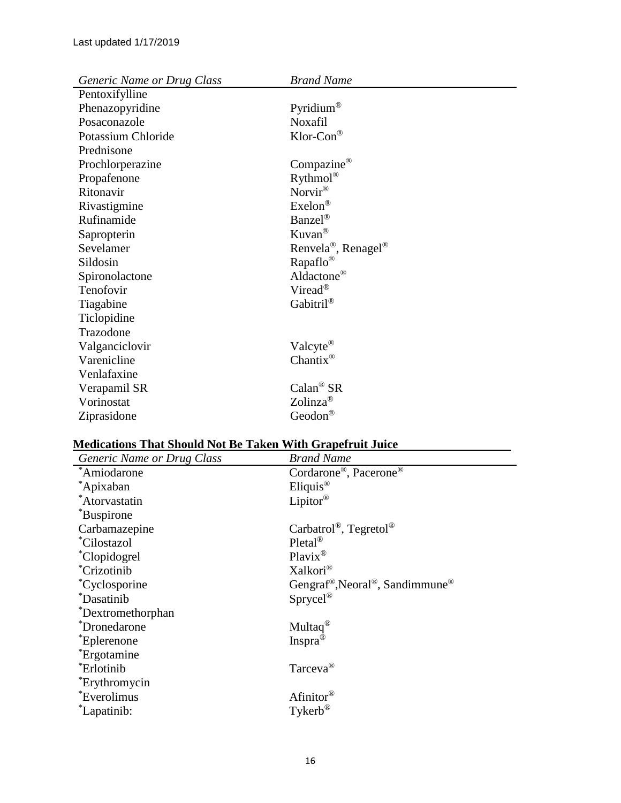| Generic Name or Drug Class | <b>Brand Name</b>                           |
|----------------------------|---------------------------------------------|
| Pentoxifylline             |                                             |
| Phenazopyridine            | Pyridium <sup>®</sup>                       |
| Posaconazole               | <b>Noxafil</b>                              |
| Potassium Chloride         | $Klor$ -Con <sup>®</sup>                    |
| Prednisone                 |                                             |
| Prochlorperazine           | Compazine®                                  |
| Propafenone                | $Rython^@$                                  |
| Ritonavir                  | Norvir®                                     |
| Rivastigmine               | $Exelon^{\circledR}$                        |
| Rufinamide                 | Banzel <sup>®</sup>                         |
| Sapropterin                | $Kuvan^{\circledR}$                         |
| Sevelamer                  | Renvela <sup>®</sup> , Renagel <sup>®</sup> |
| Sildosin                   | Rapaflo <sup>®</sup>                        |
| Spironolactone             | Aldactone <sup>®</sup>                      |
| Tenofovir                  | Viread <sup>®</sup>                         |
| Tiagabine                  | Gabitril®                                   |
| Ticlopidine                |                                             |
| Trazodone                  |                                             |
| Valganciclovir             | Valcyte <sup>®</sup>                        |
| Varenicline                | Chantix <sup>®</sup>                        |
| Venlafaxine                |                                             |
| Verapamil SR               | $Calan^{\circledR} SR$                      |
| Vorinostat                 | Zolinza <sup>®</sup>                        |
| Ziprasidone                | Geodon <sup>®</sup>                         |
|                            |                                             |

# **Medications That Should Not Be Taken With Grapefruit Juice**

| Generic Name or Drug Class | <b>Brand Name</b>                                                    |
|----------------------------|----------------------------------------------------------------------|
| *Amiodarone                | Cordarone®, Pacerone®                                                |
| *Apixaban                  | Eliquis <sup>®</sup>                                                 |
| *Atorvastatin              | Lipitor®                                                             |
| *Buspirone                 |                                                                      |
| Carbamazepine              | Carbatrol <sup>®</sup> , Tegretol <sup>®</sup>                       |
| <i>Cilostazol</i>          | $Pletal^®$                                                           |
| <i>Clopidogrel</i>         | $Plavix^@$                                                           |
| <i>*Crizotinib</i>         | Xalkori <sup>®</sup>                                                 |
| <i>*Cyclosporine</i>       | Gengraf <sup>®</sup> , Neoral <sup>®</sup> , Sandimmune <sup>®</sup> |
| <i>*Dasatinib</i>          | $Sprycel^®$                                                          |
| *Dextromethorphan          |                                                                      |
| *Dronedarone               | Multaq <sup>®</sup>                                                  |
| <i>*Eplerenone</i>         | Inspra <sup>®</sup>                                                  |
| <i>*Ergotamine</i>         |                                                                      |
| *Erlotinib                 | Tarceva <sup>®</sup>                                                 |
| <i>*Erythromycin</i>       |                                                                      |
| <i>*Everolimus</i>         | Afinitor <sup>®</sup>                                                |
| <i>Lapatinib:</i>          | $T$ ykerb®                                                           |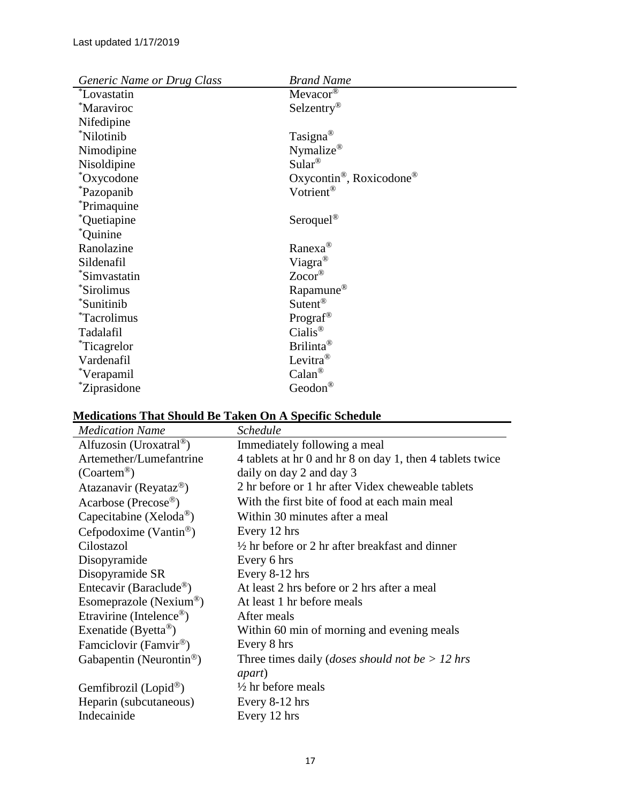| Generic Name or Drug Class | <b>Brand Name</b>                                |
|----------------------------|--------------------------------------------------|
| <i>*Lovastatin</i>         | Mevacor®                                         |
| *Maraviroc                 | Selzentry <sup>®</sup>                           |
| Nifedipine                 |                                                  |
| *Nilotinib                 | Tasigna <sup>®</sup>                             |
| Nimodipine                 | Nymalize®                                        |
| Nisoldipine                | $Sular^{\circledR}$                              |
| *Oxycodone                 | Oxycontin <sup>®</sup> , Roxicodone <sup>®</sup> |
| <i>*Pazopanib</i>          | Votrient <sup>®</sup>                            |
| <i>*Primaquine</i>         |                                                  |
| *Quetiapine                | Seroquel <sup>®</sup>                            |
| $^*$ Quinine               |                                                  |
| Ranolazine                 | Ranexa <sup>®</sup>                              |
| Sildenafil                 | Viagra <sup>®</sup>                              |
| *Simvastatin               | $Zocor^{\circledR}$                              |
| *Sirolimus                 | Rapamune <sup>®</sup>                            |
| *Sunitinib                 | Sutent <sup>®</sup>                              |
| <i>*Tacrolimus</i>         | Prograf <sup>®</sup>                             |
| Tadalafil                  | $Cialis^{\circledR}$                             |
| <i>r</i> icagrelor         | Brilinta <sup>®</sup>                            |
| Vardenafil                 | Levitra <sup>®</sup>                             |
| *Verapamil                 | $Calan^{\circledR}$                              |
| <i>*Ziprasidone</i>        | Geodon®                                          |

# **Medications That Should Be Taken On A Specific Schedule**

| <b>Medication Name</b>               | <b>Schedule</b>                                            |
|--------------------------------------|------------------------------------------------------------|
| Alfuzosin (Uroxatral <sup>®</sup> )  | Immediately following a meal                               |
| Artemether/Lumefantrine              | 4 tablets at hr 0 and hr 8 on day 1, then 4 tablets twice  |
| $(Coartem^{\circledR})$              | daily on day 2 and day 3                                   |
| Atazanavir (Reyataz <sup>®</sup> )   | 2 hr before or 1 hr after Videx cheweable tablets          |
| Acarbose (Precose®)                  | With the first bite of food at each main meal              |
| Capecitabine (Xeloda <sup>®</sup> )  | Within 30 minutes after a meal                             |
| Cefpodoxime (Vantin <sup>®</sup> )   | Every 12 hrs                                               |
| Cilostazol                           | $\frac{1}{2}$ hr before or 2 hr after breakfast and dinner |
| Disopyramide                         | Every 6 hrs                                                |
| Disopyramide SR                      | Every 8-12 hrs                                             |
| Entecavir (Baraclude®)               | At least 2 hrs before or 2 hrs after a meal                |
| Esomeprazole (Nexium®)               | At least 1 hr before meals                                 |
| Etravirine (Intelence <sup>®</sup> ) | After meals                                                |
| Exenatide (Byetta <sup>®</sup> )     | Within 60 min of morning and evening meals                 |
| Famciclovir (Famvir <sup>®</sup> )   | Every 8 hrs                                                |
| Gabapentin (Neurontin <sup>®</sup> ) | Three times daily ( <i>doses should not be</i> $> 12$ hrs  |
|                                      | <i>apart</i> )                                             |
| Gemfibrozil (Lopid®)                 | $\frac{1}{2}$ hr before meals                              |
| Heparin (subcutaneous)               | Every 8-12 hrs                                             |
| Indecainide                          | Every 12 hrs                                               |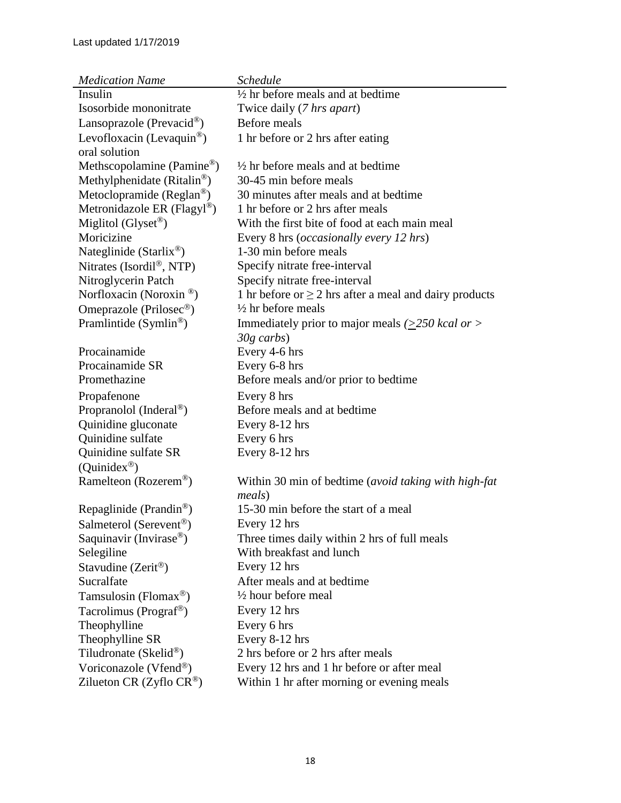| <b>Medication Name</b>                     | <b>Schedule</b>                                                |
|--------------------------------------------|----------------------------------------------------------------|
| Insulin                                    | $\frac{1}{2}$ hr before meals and at bedtime                   |
| Isosorbide mononitrate                     | Twice daily (7 hrs apart)                                      |
| Lansoprazole (Prevacid <sup>®</sup> )      | Before meals                                                   |
| Levofloxacin (Levaquin <sup>®</sup> )      | 1 hr before or 2 hrs after eating                              |
| oral solution                              |                                                                |
| Methscopolamine (Pamine®)                  | $\frac{1}{2}$ hr before meals and at bedtime                   |
| Methylphenidate (Ritalin®)                 | 30-45 min before meals                                         |
| Metoclopramide ( $Reglan^{\circledcirc}$ ) | 30 minutes after meals and at bedtime                          |
| Metronidazole ER (Flagyl®)                 | 1 hr before or 2 hrs after meals                               |
| Miglitol (Glyset <sup>®</sup> )            | With the first bite of food at each main meal                  |
| Moricizine                                 | Every 8 hrs ( <i>occasionally every 12 hrs</i> )               |
| Nateglinide (Starlix <sup>®</sup> )        | 1-30 min before meals                                          |
| Nitrates (Isordi $\mathbb{R}^8$ , NTP)     | Specify nitrate free-interval                                  |
| Nitroglycerin Patch                        | Specify nitrate free-interval                                  |
| Norfloxacin (Noroxin <sup>®</sup> )        | 1 hr before or $\geq$ 2 hrs after a meal and dairy products    |
| Omeprazole (Prilosec <sup>®</sup> )        | $\frac{1}{2}$ hr before meals                                  |
| Pramlintide $(Symlin^{\circledR})$         | Immediately prior to major meals $(>=250$ kcal or $>$          |
|                                            | $30g$ carbs)                                                   |
| Procainamide                               | Every 4-6 hrs                                                  |
| Procainamide SR                            | Every 6-8 hrs                                                  |
| Promethazine                               | Before meals and/or prior to bedtime                           |
| Propafenone                                | Every 8 hrs                                                    |
| Propranolol (Inderal <sup>®</sup> )        | Before meals and at bedtime                                    |
| Quinidine gluconate                        | Every 8-12 hrs                                                 |
| Quinidine sulfate                          | Every 6 hrs                                                    |
| Quinidine sulfate SR                       | Every 8-12 hrs                                                 |
| (Quinidex <sup>®</sup> )                   |                                                                |
| Ramelteon (Rozerem®)                       | Within 30 min of bedtime (avoid taking with high-fat<br>meals) |
| Repaglinide (Prandin <sup>®</sup> )        | 15-30 min before the start of a meal                           |
| Salmeterol (Serevent <sup>®</sup> )        | Every 12 hrs                                                   |
| Saquinavir (Invirase <sup>®</sup> )        | Three times daily within 2 hrs of full meals                   |
| Selegiline                                 | With breakfast and lunch                                       |
| Stavudine (Zerit <sup>®</sup> )            | Every 12 hrs                                                   |
| Sucralfate                                 | After meals and at bedtime                                     |
| Tamsulosin (Flomax <sup>®</sup> )          | $\frac{1}{2}$ hour before meal                                 |
| Tacrolimus (Prograf <sup>®</sup> )         | Every 12 hrs                                                   |
| Theophylline                               | Every 6 hrs                                                    |
| Theophylline SR                            | Every 8-12 hrs                                                 |
| Tiludronate (Skelid <sup>®</sup> )         | 2 hrs before or 2 hrs after meals                              |
| Voriconazole (Vfend®)                      | Every 12 hrs and 1 hr before or after meal                     |
| Zilueton CR (Zyflo CR <sup>®</sup> )       | Within 1 hr after morning or evening meals                     |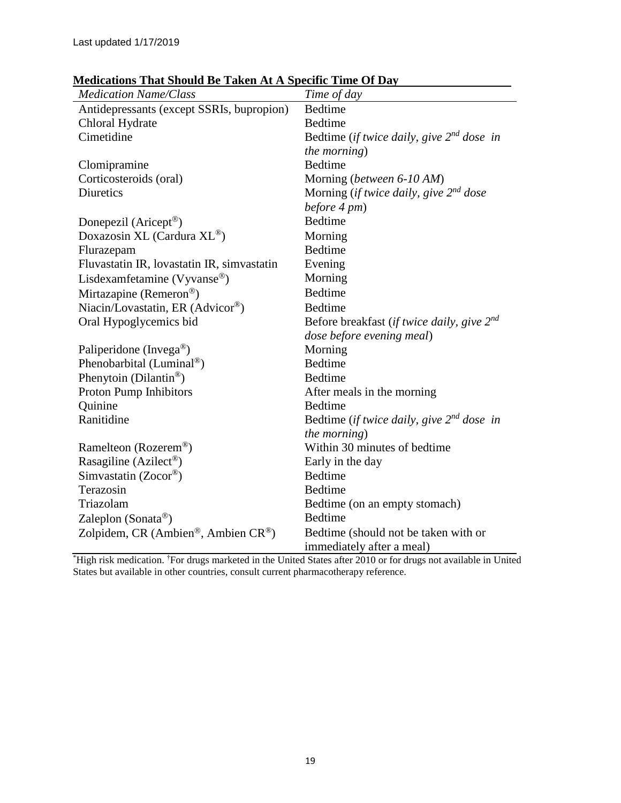| <b>Medication Name/Class</b>                   | Time of day                                     |
|------------------------------------------------|-------------------------------------------------|
| Antidepressants (except SSRIs, bupropion)      | <b>Bedtime</b>                                  |
| Chloral Hydrate                                | <b>Bedtime</b>                                  |
| Cimetidine                                     | Bedtime (if twice daily, give $2^{nd}$ dose in  |
|                                                | the morning)                                    |
| Clomipramine                                   | <b>Bedtime</b>                                  |
| Corticosteroids (oral)                         | Morning (between 6-10 AM)                       |
| <b>Diuretics</b>                               | Morning (if twice daily, give $2^{nd}$ dose     |
|                                                | before 4 pm)                                    |
| Donepezil (Aricept <sup>®</sup> )              | Bedtime                                         |
| Doxazosin XL (Cardura $\rm{XL}$ <sup>®</sup> ) | Morning                                         |
| Flurazepam                                     | <b>Bedtime</b>                                  |
| Fluvastatin IR, lovastatin IR, simvastatin     | Evening                                         |
| Lisdexamfetamine (Vyvanse®)                    | Morning                                         |
| Mirtazapine (Remeron®)                         | <b>Bedtime</b>                                  |
| Niacin/Lovastatin, ER (Advicor®)               | Bedtime                                         |
| Oral Hypoglycemics bid                         | Before breakfast (if twice daily, give $2^{nd}$ |
|                                                | dose before evening meal)                       |
| Paliperidone (Invega®)                         | Morning                                         |
| Phenobarbital (Luminal <sup>®</sup> )          | <b>Bedtime</b>                                  |
| Phenytoin (Dilantin®)                          | Bedtime                                         |
| Proton Pump Inhibitors                         | After meals in the morning                      |
| Quinine                                        | <b>Bedtime</b>                                  |
| Ranitidine                                     | Bedtime (if twice daily, give $2^{nd}$ dose in  |
|                                                | the morning)                                    |
| Ramelteon (Rozerem®)                           | Within 30 minutes of bedtime                    |
| Rasagiline (Azilect <sup>®</sup> )             | Early in the day                                |
| Simvastatin (Zocor®)                           | <b>Bedtime</b>                                  |
| Terazosin                                      | <b>Bedtime</b>                                  |
| Triazolam                                      | Bedtime (on an empty stomach)                   |
| Zaleplon (Sonata®)                             | <b>Bedtime</b>                                  |
| Zolpidem, CR (Ambien®, Ambien CR®)             | Bedtime (should not be taken with or            |
|                                                | immediately after a meal)                       |

**Medications That Should Be Taken At A Specific Time Of Day**

\*High risk medication. <sup>†</sup>For drugs marketed in the United States after 2010 or for drugs not available in United States but available in other countries, consult current pharmacotherapy reference.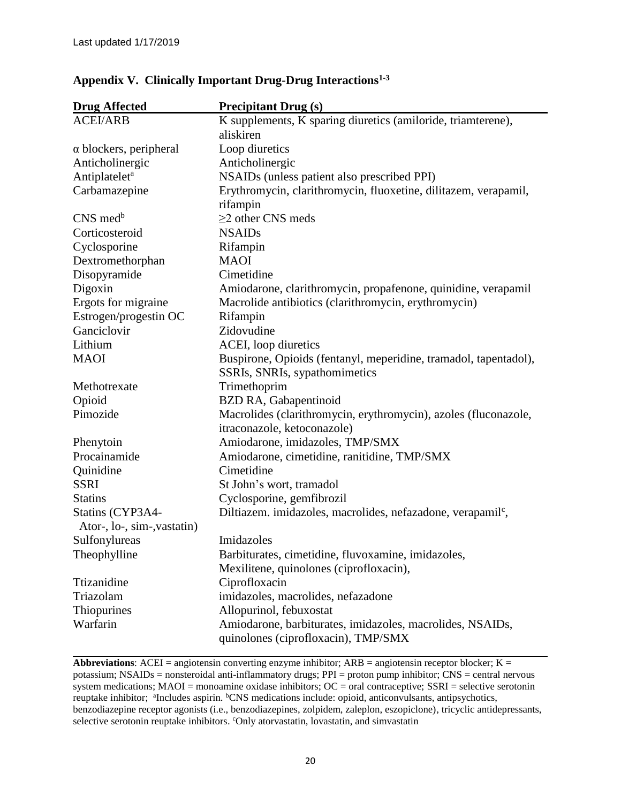| <b>Drug Affected</b>          | <b>Precipitant Drug (s)</b>                                             |
|-------------------------------|-------------------------------------------------------------------------|
| <b>ACEI/ARB</b>               | K supplements, K sparing diuretics (amiloride, triamterene),            |
|                               | aliskiren                                                               |
| $\alpha$ blockers, peripheral | Loop diuretics                                                          |
| Anticholinergic               | Anticholinergic                                                         |
| Antiplatelet <sup>a</sup>     | NSAIDs (unless patient also prescribed PPI)                             |
| Carbamazepine                 | Erythromycin, clarithromycin, fluoxetine, dilitazem, verapamil,         |
|                               | rifampin                                                                |
| CNS med <sup>b</sup>          | $\geq$ 2 other CNS meds                                                 |
| Corticosteroid                | <b>NSAIDs</b>                                                           |
| Cyclosporine                  | Rifampin                                                                |
| Dextromethorphan              | <b>MAOI</b>                                                             |
| Disopyramide                  | Cimetidine                                                              |
| Digoxin                       | Amiodarone, clarithromycin, propafenone, quinidine, verapamil           |
| Ergots for migraine           | Macrolide antibiotics (clarithromycin, erythromycin)                    |
| Estrogen/progestin OC         | Rifampin                                                                |
| Ganciclovir                   | Zidovudine                                                              |
| Lithium                       | ACEI, loop diuretics                                                    |
| <b>MAOI</b>                   | Buspirone, Opioids (fentanyl, meperidine, tramadol, tapentadol),        |
|                               | SSRIs, SNRIs, sypathomimetics                                           |
| Methotrexate                  | Trimethoprim                                                            |
| Opioid                        | BZD RA, Gabapentinoid                                                   |
| Pimozide                      | Macrolides (clarithromycin, erythromycin), azoles (fluconazole,         |
|                               | itraconazole, ketoconazole)                                             |
| Phenytoin                     | Amiodarone, imidazoles, TMP/SMX                                         |
| Procainamide                  | Amiodarone, cimetidine, ranitidine, TMP/SMX                             |
| Quinidine                     | Cimetidine                                                              |
| <b>SSRI</b>                   | St John's wort, tramadol                                                |
| <b>Statins</b>                | Cyclosporine, gemfibrozil                                               |
| Statins (CYP3A4-              | Diltiazem. imidazoles, macrolides, nefazadone, verapamil <sup>c</sup> , |
| Ator-, lo-, sim-, vastatin)   |                                                                         |
| Sulfonylureas                 | Imidazoles                                                              |
| Theophylline                  | Barbiturates, cimetidine, fluvoxamine, imidazoles,                      |
|                               | Mexilitene, quinolones (ciprofloxacin),                                 |
| Ttizanidine                   | Ciprofloxacin                                                           |
| Triazolam                     | imidazoles, macrolides, nefazadone                                      |
| Thiopurines                   | Allopurinol, febuxostat                                                 |
| Warfarin                      | Amiodarone, barbiturates, imidazoles, macrolides, NSAIDs,               |
|                               | quinolones (ciprofloxacin), TMP/SMX                                     |

## **Appendix V. Clinically Important Drug-Drug Interactions1-3**

**Abbreviations**: ACEI = angiotensin converting enzyme inhibitor; ARB = angiotensin receptor blocker; K = potassium; NSAIDs = nonsteroidal anti-inflammatory drugs; PPI = proton pump inhibitor; CNS = central nervous system medications;  $MAOI$  = monoamine oxidase inhibitors;  $OC$  = oral contraceptive;  $SSRI$  = selective serotonin reuptake inhibitor; <sup>a</sup>Includes aspirin. <sup>b</sup>CNS medications include: opioid, anticonvulsants, antipsychotics, benzodiazepine receptor agonists (i.e., benzodiazepines, zolpidem, zaleplon, eszopiclone), tricyclic antidepressants, selective serotonin reuptake inhibitors. 'Only atorvastatin, lovastatin, and simvastatin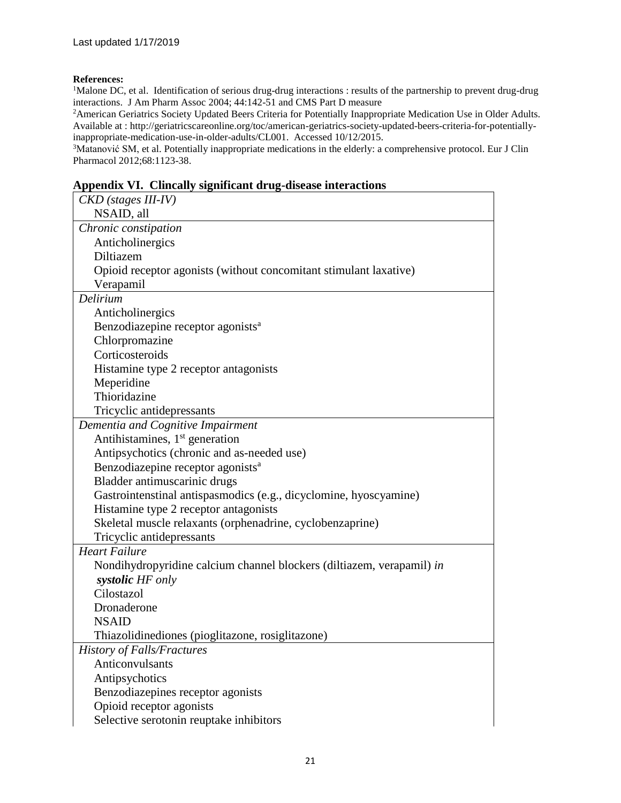#### **References:**

<sup>1</sup>Malone DC, et al. Identification of serious drug-drug interactions : results of the partnership to prevent drug-drug interactions. J Am Pharm Assoc 2004; 44:142-51 and CMS Part D measure

<sup>2</sup>American Geriatrics Society Updated Beers Criteria for Potentially Inappropriate Medication Use in Older Adults. Available at : http://geriatricscareonline.org/toc/american-geriatrics-society-updated-beers-criteria-for-potentiallyinappropriate-medication-use-in-older-adults/CL001. Accessed 10/12/2015.

<sup>3</sup>Matanović SM, et al. Potentially inappropriate medications in the elderly: a comprehensive protocol. Eur J Clin Pharmacol 2012;68:1123-38.

#### **Appendix VI. Clincally significant drug-disease interactions**

| CKD (stages III-IV)                                                   |
|-----------------------------------------------------------------------|
| NSAID, all                                                            |
| Chronic constipation                                                  |
| Anticholinergics                                                      |
| Diltiazem                                                             |
| Opioid receptor agonists (without concomitant stimulant laxative)     |
| Verapamil                                                             |
| Delirium                                                              |
| Anticholinergics                                                      |
| Benzodiazepine receptor agonists <sup>a</sup>                         |
| Chlorpromazine                                                        |
| Corticosteroids                                                       |
| Histamine type 2 receptor antagonists                                 |
| Meperidine                                                            |
| Thioridazine                                                          |
| Tricyclic antidepressants                                             |
| Dementia and Cognitive Impairment                                     |
| Antihistamines, 1 <sup>st</sup> generation                            |
| Antipsychotics (chronic and as-needed use)                            |
| Benzodiazepine receptor agonists <sup>a</sup>                         |
| Bladder antimuscarinic drugs                                          |
| Gastrointenstinal antispasmodics (e.g., dicyclomine, hyoscyamine)     |
| Histamine type 2 receptor antagonists                                 |
| Skeletal muscle relaxants (orphenadrine, cyclobenzaprine)             |
| Tricyclic antidepressants                                             |
| <b>Heart Failure</b>                                                  |
| Nondihydropyridine calcium channel blockers (diltiazem, verapamil) in |
| systolic HF only                                                      |
| Cilostazol                                                            |
| Dronaderone                                                           |
| <b>NSAID</b>                                                          |
| Thiazolidinediones (pioglitazone, rosiglitazone)                      |
| <b>History of Falls/Fractures</b>                                     |
| Anticonvulsants                                                       |
| Antipsychotics                                                        |
| Benzodiazepines receptor agonists                                     |
| Opioid receptor agonists                                              |
| Selective serotonin reuptake inhibitors                               |
|                                                                       |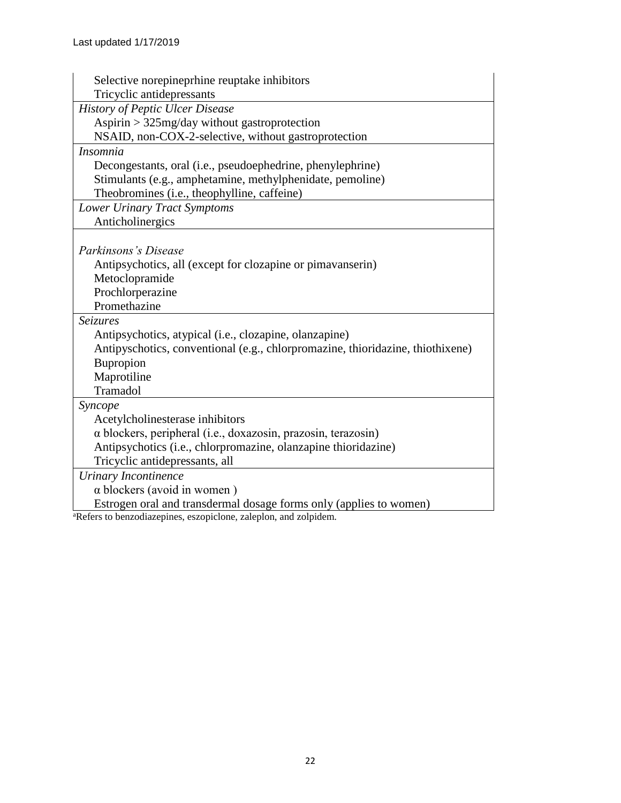| Selective norepineprhine reuptake inhibitors                                   |  |  |  |
|--------------------------------------------------------------------------------|--|--|--|
| Tricyclic antidepressants                                                      |  |  |  |
| <b>History of Peptic Ulcer Disease</b>                                         |  |  |  |
| Aspirin $>$ 325mg/day without gastroprotection                                 |  |  |  |
| NSAID, non-COX-2-selective, without gastroprotection                           |  |  |  |
| <i>Insomnia</i>                                                                |  |  |  |
| Decongestants, oral (i.e., pseudoephedrine, phenylephrine)                     |  |  |  |
| Stimulants (e.g., amphetamine, methylphenidate, pemoline)                      |  |  |  |
| Theobromines (i.e., theophylline, caffeine)                                    |  |  |  |
| Lower Urinary Tract Symptoms                                                   |  |  |  |
| Anticholinergics                                                               |  |  |  |
|                                                                                |  |  |  |
| Parkinsons's Disease                                                           |  |  |  |
| Antipsychotics, all (except for clozapine or pimavanserin)                     |  |  |  |
| Metoclopramide                                                                 |  |  |  |
| Prochlorperazine                                                               |  |  |  |
| Promethazine                                                                   |  |  |  |
| <b>Seizures</b>                                                                |  |  |  |
| Antipsychotics, atypical (i.e., clozapine, olanzapine)                         |  |  |  |
| Antipyschotics, conventional (e.g., chlorpromazine, thioridazine, thiothixene) |  |  |  |
| Bupropion                                                                      |  |  |  |
| Maprotiline                                                                    |  |  |  |
| Tramadol                                                                       |  |  |  |
| Syncope                                                                        |  |  |  |
| Acetylcholinesterase inhibitors                                                |  |  |  |
| $\alpha$ blockers, peripheral (i.e., doxazosin, prazosin, terazosin)           |  |  |  |
| Antipsychotics (i.e., chlorpromazine, olanzapine thioridazine)                 |  |  |  |
| Tricyclic antidepressants, all                                                 |  |  |  |
| <b>Urinary Incontinence</b>                                                    |  |  |  |
| $\alpha$ blockers (avoid in women)                                             |  |  |  |
| Estrogen oral and transdermal dosage forms only (applies to women)             |  |  |  |
| <sup>a</sup> Refers to benzodiazepines, eszopiclone, zaleplon, and zolpidem.   |  |  |  |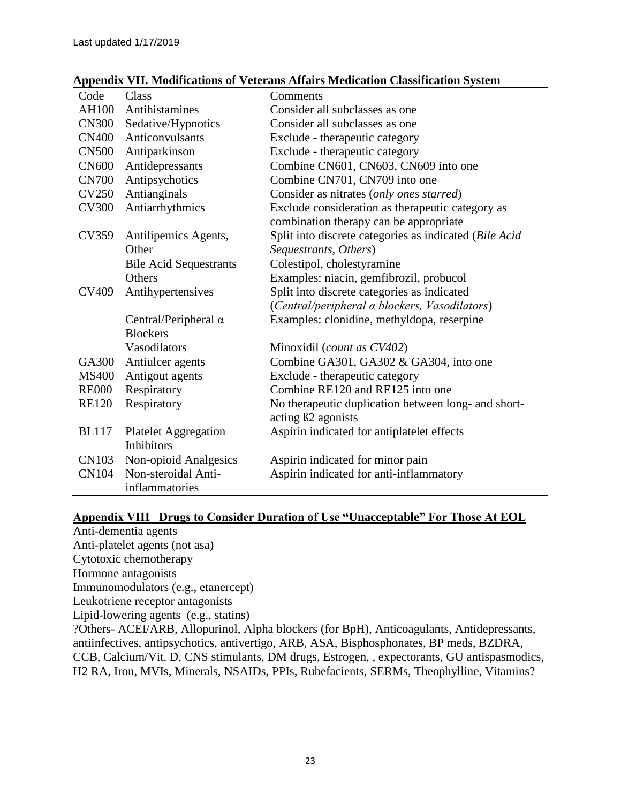#### **Appendix VII. Modifications of Veterans Affairs Medication Classification System**

| Code         | Class                         | Comments                                                                  |
|--------------|-------------------------------|---------------------------------------------------------------------------|
| AH100        | Antihistamines                | Consider all subclasses as one                                            |
| <b>CN300</b> | Sedative/Hypnotics            | Consider all subclasses as one                                            |
| <b>CN400</b> | Anticonvulsants               | Exclude - therapeutic category                                            |
| <b>CN500</b> | Antiparkinson                 | Exclude - therapeutic category                                            |
| <b>CN600</b> | Antidepressants               | Combine CN601, CN603, CN609 into one                                      |
| <b>CN700</b> | Antipsychotics                | Combine CN701, CN709 into one                                             |
| <b>CV250</b> | Antianginals                  | Consider as nitrates (only ones starred)                                  |
| <b>CV300</b> | Antiarrhythmics               | Exclude consideration as therapeutic category as                          |
|              |                               | combination therapy can be appropriate                                    |
| CV359        | Antilipemics Agents,          | Split into discrete categories as indicated (Bile Acid                    |
|              | Other                         | Sequestrants, Others)                                                     |
|              | <b>Bile Acid Sequestrants</b> | Colestipol, cholestyramine                                                |
|              | Others                        | Examples: niacin, gemfibrozil, probucol                                   |
| CV409        | Antihypertensives             | Split into discrete categories as indicated                               |
|              |                               | (Central/peripheral a blockers, Vasodilators)                             |
|              | Central/Peripheral $\alpha$   | Examples: clonidine, methyldopa, reserpine                                |
|              | <b>Blockers</b>               |                                                                           |
|              | Vasodilators                  | Minoxidil (count as CV402)                                                |
| GA300        | Antiulcer agents              | Combine GA301, GA302 & GA304, into one                                    |
| <b>MS400</b> | Antigout agents               | Exclude - therapeutic category                                            |
| <b>RE000</b> | Respiratory                   | Combine RE120 and RE125 into one                                          |
| <b>RE120</b> | Respiratory                   | No therapeutic duplication between long- and short-<br>acting ß2 agonists |
| <b>BL117</b> | <b>Platelet Aggregation</b>   | Aspirin indicated for antiplatelet effects                                |
|              | Inhibitors                    |                                                                           |
| <b>CN103</b> | Non-opioid Analgesics         | Aspirin indicated for minor pain                                          |
| <b>CN104</b> | Non-steroidal Anti-           | Aspirin indicated for anti-inflammatory                                   |
|              | inflammatories                |                                                                           |

## **Appendix VIII Drugs to Consider Duration of Use "Unacceptable" For Those At EOL**

Anti-dementia agents Anti-platelet agents (not asa) Cytotoxic chemotherapy Hormone antagonists Immunomodulators (e.g., etanercept) Leukotriene receptor antagonists Lipid-lowering agents (e.g., statins) ?Others- ACEI/ARB, Allopurinol, Αlpha blockers (for BpH), Anticoagulants, Antidepressants, antiinfectives, antipsychotics, antivertigo, ARB, ASA, Bisphosphonates, BP meds, BZDRA, CCB, Calcium/Vit. D, CNS stimulants, DM drugs, Estrogen, , expectorants, GU antispasmodics, H2 RA, Iron, MVIs, Minerals, NSAIDs, PPIs, Rubefacients, SERMs, Theophylline, Vitamins?